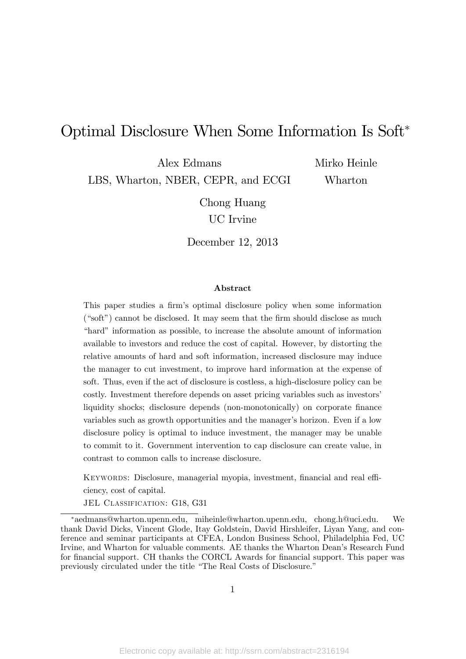# Optimal Disclosure When Some Information Is Soft

Alex Edmans

LBS, Wharton, NBER, CEPR, and ECGI

Mirko Heinle Wharton

Chong Huang UC Irvine

December 12, 2013

#### Abstract

This paper studies a firm's optimal disclosure policy when some information  $(*soft")$  cannot be disclosed. It may seem that the firm should disclose as much ìhardî information as possible, to increase the absolute amount of information available to investors and reduce the cost of capital. However, by distorting the relative amounts of hard and soft information, increased disclosure may induce the manager to cut investment, to improve hard information at the expense of soft. Thus, even if the act of disclosure is costless, a high-disclosure policy can be costly. Investment therefore depends on asset pricing variables such as investors' liquidity shocks; disclosure depends (non-monotonically) on corporate finance variables such as growth opportunities and the manager's horizon. Even if a low disclosure policy is optimal to induce investment, the manager may be unable to commit to it. Government intervention to cap disclosure can create value, in contrast to common calls to increase disclosure.

KEYWORDS: Disclosure, managerial myopia, investment, financial and real efficiency, cost of capital.

JEL CLASSIFICATION: G18, G31

1

aedmans@wharton.upenn.edu, miheinle@wharton.upenn.edu, chong.h@uci.edu. We thank David Dicks, Vincent Glode, Itay Goldstein, David Hirshleifer, Liyan Yang, and conference and seminar participants at CFEA, London Business School, Philadelphia Fed, UC Irvine, and Wharton for valuable comments. AE thanks the Wharton Dean's Research Fund for financial support. CH thanks the CORCL Awards for financial support. This paper was previously circulated under the title "The Real Costs of Disclosure."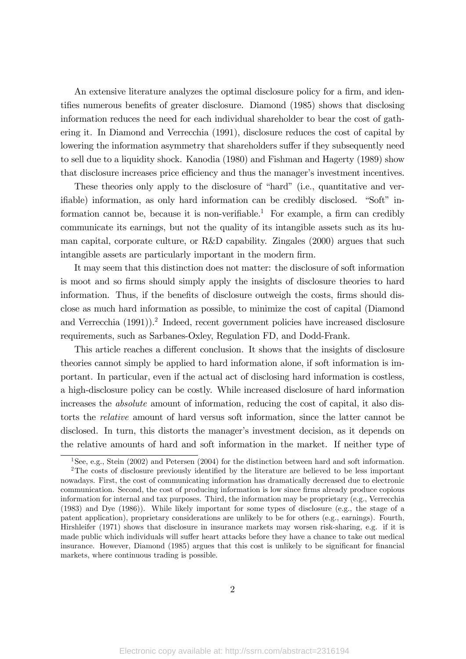An extensive literature analyzes the optimal disclosure policy for a firm, and identifies numerous benefits of greater disclosure. Diamond (1985) shows that disclosing information reduces the need for each individual shareholder to bear the cost of gathering it. In Diamond and Verrecchia (1991), disclosure reduces the cost of capital by lowering the information asymmetry that shareholders suffer if they subsequently need to sell due to a liquidity shock. Kanodia (1980) and Fishman and Hagerty (1989) show that disclosure increases price efficiency and thus the manager's investment incentives.

These theories only apply to the disclosure of "hard" (i.e., quantitative and verifiable) information, as only hard information can be credibly disclosed. "Soft" information cannot be, because it is non-verifiable.<sup>1</sup> For example, a firm can credibly communicate its earnings, but not the quality of its intangible assets such as its human capital, corporate culture, or R&D capability. Zingales (2000) argues that such intangible assets are particularly important in the modern firm.

It may seem that this distinction does not matter: the disclosure of soft information is moot and so firms should simply apply the insights of disclosure theories to hard information. Thus, if the benefits of disclosure outweigh the costs, firms should disclose as much hard information as possible, to minimize the cost of capital (Diamond and Verrecchia (1991)).<sup>2</sup> Indeed, recent government policies have increased disclosure requirements, such as Sarbanes-Oxley, Regulation FD, and Dodd-Frank.

This article reaches a different conclusion. It shows that the insights of disclosure theories cannot simply be applied to hard information alone, if soft information is important. In particular, even if the actual act of disclosing hard information is costless, a high-disclosure policy can be costly. While increased disclosure of hard information increases the absolute amount of information, reducing the cost of capital, it also distorts the relative amount of hard versus soft information, since the latter cannot be disclosed. In turn, this distorts the manager's investment decision, as it depends on the relative amounts of hard and soft information in the market. If neither type of

<sup>1</sup>See, e.g., Stein (2002) and Petersen (2004) for the distinction between hard and soft information.

 $2$ The costs of disclosure previously identified by the literature are believed to be less important nowadays. First, the cost of communicating information has dramatically decreased due to electronic communication. Second, the cost of producing information is low since firms already produce copious information for internal and tax purposes. Third, the information may be proprietary (e.g., Verrecchia (1983) and Dye (1986)). While likely important for some types of disclosure (e.g., the stage of a patent application), proprietary considerations are unlikely to be for others (e.g., earnings). Fourth, Hirshleifer (1971) shows that disclosure in insurance markets may worsen risk-sharing, e.g. if it is made public which individuals will suffer heart attacks before they have a chance to take out medical insurance. However, Diamond (1985) argues that this cost is unlikely to be significant for financial markets, where continuous trading is possible.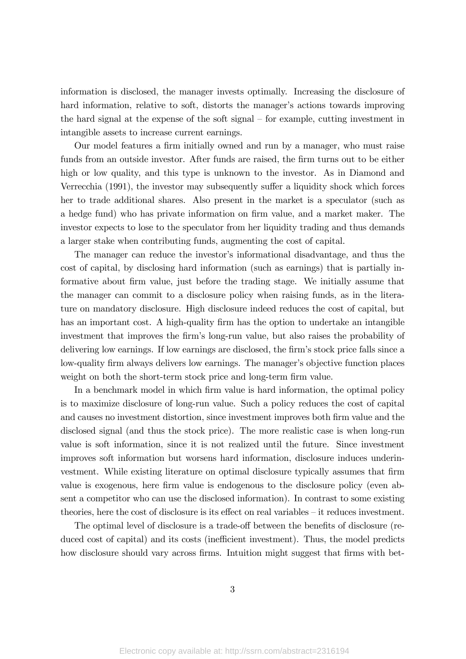information is disclosed, the manager invests optimally. Increasing the disclosure of hard information, relative to soft, distorts the manager's actions towards improving the hard signal at the expense of the soft signal  $-$  for example, cutting investment in intangible assets to increase current earnings.

Our model features a firm initially owned and run by a manager, who must raise funds from an outside investor. After funds are raised, the firm turns out to be either high or low quality, and this type is unknown to the investor. As in Diamond and Verrecchia (1991), the investor may subsequently suffer a liquidity shock which forces her to trade additional shares. Also present in the market is a speculator (such as a hedge fund) who has private information on Örm value, and a market maker. The investor expects to lose to the speculator from her liquidity trading and thus demands a larger stake when contributing funds, augmenting the cost of capital.

The manager can reduce the investor's informational disadvantage, and thus the cost of capital, by disclosing hard information (such as earnings) that is partially informative about Örm value, just before the trading stage. We initially assume that the manager can commit to a disclosure policy when raising funds, as in the literature on mandatory disclosure. High disclosure indeed reduces the cost of capital, but has an important cost. A high-quality firm has the option to undertake an intangible investment that improves the firm's long-run value, but also raises the probability of delivering low earnings. If low earnings are disclosed, the firm's stock price falls since a low-quality firm always delivers low earnings. The manager's objective function places weight on both the short-term stock price and long-term firm value.

In a benchmark model in which firm value is hard information, the optimal policy is to maximize disclosure of long-run value. Such a policy reduces the cost of capital and causes no investment distortion, since investment improves both firm value and the disclosed signal (and thus the stock price). The more realistic case is when long-run value is soft information, since it is not realized until the future. Since investment improves soft information but worsens hard information, disclosure induces underinvestment. While existing literature on optimal disclosure typically assumes that firm value is exogenous, here firm value is endogenous to the disclosure policy (even absent a competitor who can use the disclosed information). In contrast to some existing theories, here the cost of disclosure is its effect on real variables  $-$  it reduces investment.

The optimal level of disclosure is a trade-off between the benefits of disclosure (reduced cost of capital) and its costs (inefficient investment). Thus, the model predicts how disclosure should vary across firms. Intuition might suggest that firms with bet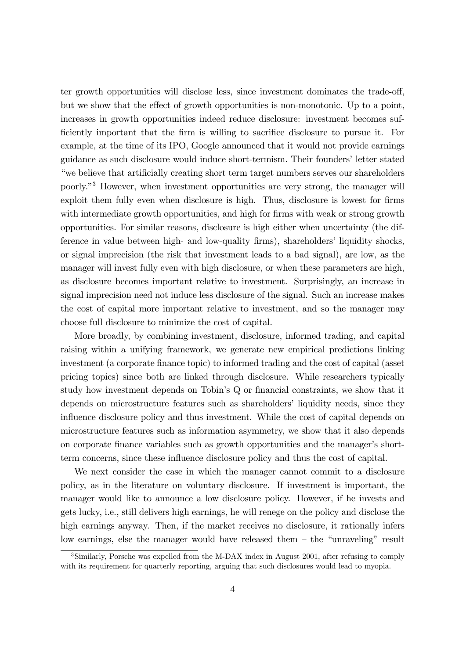ter growth opportunities will disclose less, since investment dominates the trade-off, but we show that the effect of growth opportunities is non-monotonic. Up to a point, increases in growth opportunities indeed reduce disclosure: investment becomes sufficiently important that the firm is willing to sacrifice disclosure to pursue it. For example, at the time of its IPO, Google announced that it would not provide earnings guidance as such disclosure would induce short-termism. Their founders' letter stated ìwe believe that artiÖcially creating short term target numbers serves our shareholders poorly.î<sup>3</sup> However, when investment opportunities are very strong, the manager will exploit them fully even when disclosure is high. Thus, disclosure is lowest for firms with intermediate growth opportunities, and high for firms with weak or strong growth opportunities. For similar reasons, disclosure is high either when uncertainty (the difference in value between high- and low-quality firms), shareholders' liquidity shocks, or signal imprecision (the risk that investment leads to a bad signal), are low, as the manager will invest fully even with high disclosure, or when these parameters are high, as disclosure becomes important relative to investment. Surprisingly, an increase in signal imprecision need not induce less disclosure of the signal. Such an increase makes the cost of capital more important relative to investment, and so the manager may choose full disclosure to minimize the cost of capital.

More broadly, by combining investment, disclosure, informed trading, and capital raising within a unifying framework, we generate new empirical predictions linking investment (a corporate finance topic) to informed trading and the cost of capital (asset pricing topics) since both are linked through disclosure. While researchers typically study how investment depends on Tobin's Q or financial constraints, we show that it depends on microstructure features such as shareholders' liquidity needs, since they influence disclosure policy and thus investment. While the cost of capital depends on microstructure features such as information asymmetry, we show that it also depends on corporate finance variables such as growth opportunities and the manager's shortterm concerns, since these influence disclosure policy and thus the cost of capital.

We next consider the case in which the manager cannot commit to a disclosure policy, as in the literature on voluntary disclosure. If investment is important, the manager would like to announce a low disclosure policy. However, if he invests and gets lucky, i.e., still delivers high earnings, he will renege on the policy and disclose the high earnings anyway. Then, if the market receives no disclosure, it rationally infers low earnings, else the manager would have released them  $-$  the "unraveling" result

<sup>&</sup>lt;sup>3</sup>Similarly, Porsche was expelled from the M-DAX index in August 2001, after refusing to comply with its requirement for quarterly reporting, arguing that such disclosures would lead to myopia.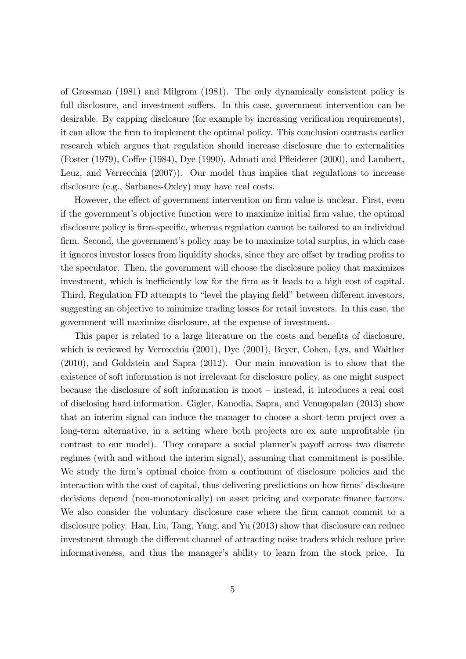of Grossman (1981) and Milgrom (1981). The only dynamically consistent policy is full disclosure, and investment suffers. In this case, government intervention can be desirable. By capping disclosure (for example by increasing verification requirements), it can allow the Örm to implement the optimal policy. This conclusion contrasts earlier research which argues that regulation should increase disclosure due to externalities (Foster (1979), Coffee (1984), Dye (1990), Admati and Pfleiderer (2000), and Lambert, Leuz, and Verrecchia (2007)). Our model thus implies that regulations to increase disclosure (e.g., Sarbanes-Oxley) may have real costs.

However, the effect of government intervention on firm value is unclear. First, even if the government's objective function were to maximize initial firm value, the optimal disclosure policy is firm-specific, whereas regulation cannot be tailored to an individual firm. Second, the government's policy may be to maximize total surplus, in which case it ignores investor losses from liquidity shocks, since they are offset by trading profits to the speculator. Then, the government will choose the disclosure policy that maximizes investment, which is inefficiently low for the firm as it leads to a high cost of capital. Third, Regulation FD attempts to "level the playing field" between different investors, suggesting an objective to minimize trading losses for retail investors. In this case, the government will maximize disclosure, at the expense of investment.

This paper is related to a large literature on the costs and benefits of disclosure, which is reviewed by Verrecchia (2001), Dye (2001), Beyer, Cohen, Lys, and Walther (2010), and Goldstein and Sapra (2012). Our main innovation is to show that the existence of soft information is not irrelevant for disclosure policy, as one might suspect because the disclosure of soft information is moot  $-$  instead, it introduces a real cost of disclosing hard information. Gigler, Kanodia, Sapra, and Venugopalan (2013) show that an interim signal can induce the manager to choose a short-term project over a long-term alternative, in a setting where both projects are ex ante unprofitable (in contrast to our model). They compare a social planner's payoff across two discrete regimes (with and without the interim signal), assuming that commitment is possible. We study the firm's optimal choice from a continuum of disclosure policies and the interaction with the cost of capital, thus delivering predictions on how firms' disclosure decisions depend (non-monotonically) on asset pricing and corporate finance factors. We also consider the voluntary disclosure case where the firm cannot commit to a disclosure policy. Han, Liu, Tang, Yang, and Yu (2013) show that disclosure can reduce investment through the different channel of attracting noise traders which reduce price informativeness, and thus the manager's ability to learn from the stock price. In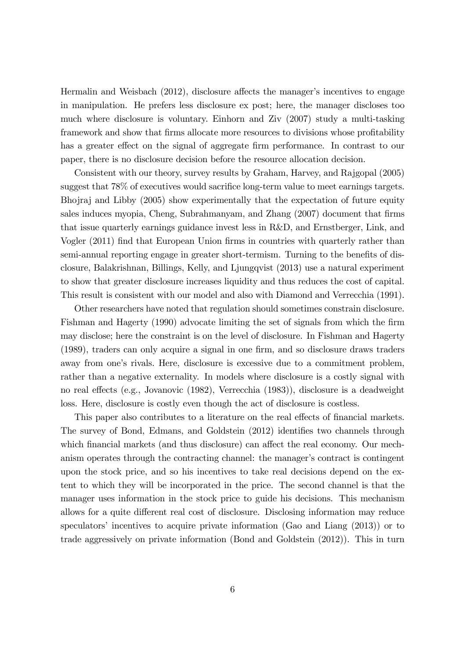Hermalin and Weisbach  $(2012)$ , disclosure affects the manager's incentives to engage in manipulation. He prefers less disclosure ex post; here, the manager discloses too much where disclosure is voluntary. Einhorn and Ziv (2007) study a multi-tasking framework and show that firms allocate more resources to divisions whose profitability has a greater effect on the signal of aggregate firm performance. In contrast to our paper, there is no disclosure decision before the resource allocation decision.

Consistent with our theory, survey results by Graham, Harvey, and Rajgopal (2005) suggest that 78% of executives would sacrifice long-term value to meet earnings targets. Bhojraj and Libby (2005) show experimentally that the expectation of future equity sales induces myopia, Cheng, Subrahmanyam, and Zhang (2007) document that firms that issue quarterly earnings guidance invest less in R&D, and Ernstberger, Link, and Vogler (2011) find that European Union firms in countries with quarterly rather than semi-annual reporting engage in greater short-termism. Turning to the benefits of disclosure, Balakrishnan, Billings, Kelly, and Ljungqvist (2013) use a natural experiment to show that greater disclosure increases liquidity and thus reduces the cost of capital. This result is consistent with our model and also with Diamond and Verrecchia (1991).

Other researchers have noted that regulation should sometimes constrain disclosure. Fishman and Hagerty (1990) advocate limiting the set of signals from which the firm may disclose; here the constraint is on the level of disclosure. In Fishman and Hagerty (1989), traders can only acquire a signal in one firm, and so disclosure draws traders away from one's rivals. Here, disclosure is excessive due to a commitment problem, rather than a negative externality. In models where disclosure is a costly signal with no real effects (e.g., Jovanovic (1982), Verrecchia (1983)), disclosure is a deadweight loss. Here, disclosure is costly even though the act of disclosure is costless.

This paper also contributes to a literature on the real effects of financial markets. The survey of Bond, Edmans, and Goldstein (2012) identifies two channels through which financial markets (and thus disclosure) can affect the real economy. Our mechanism operates through the contracting channel: the manager's contract is contingent upon the stock price, and so his incentives to take real decisions depend on the extent to which they will be incorporated in the price. The second channel is that the manager uses information in the stock price to guide his decisions. This mechanism allows for a quite different real cost of disclosure. Disclosing information may reduce speculators' incentives to acquire private information (Gao and Liang  $(2013)$ ) or to trade aggressively on private information (Bond and Goldstein (2012)). This in turn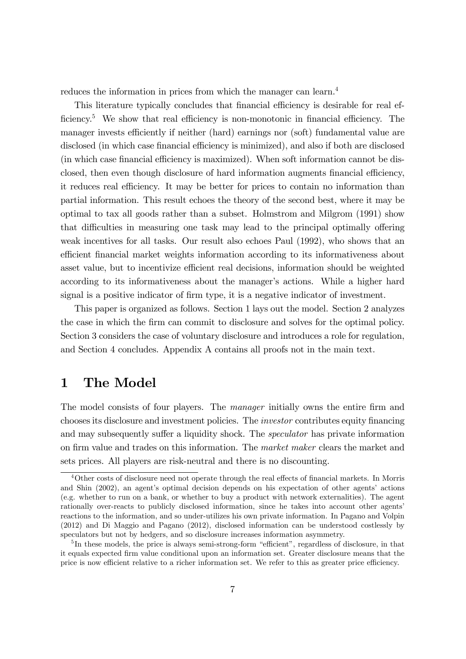reduces the information in prices from which the manager can learn.<sup>4</sup>

This literature typically concludes that financial efficiency is desirable for real efficiency.<sup>5</sup> We show that real efficiency is non-monotonic in financial efficiency. The manager invests efficiently if neither (hard) earnings nor (soft) fundamental value are disclosed (in which case financial efficiency is minimized), and also if both are disclosed (in which case financial efficiency is maximized). When soft information cannot be disclosed, then even though disclosure of hard information augments financial efficiency, it reduces real efficiency. It may be better for prices to contain no information than partial information. This result echoes the theory of the second best, where it may be optimal to tax all goods rather than a subset. Holmstrom and Milgrom (1991) show that difficulties in measuring one task may lead to the principal optimally offering weak incentives for all tasks. Our result also echoes Paul (1992), who shows that an efficient financial market weights information according to its informativeness about asset value, but to incentivize efficient real decisions, information should be weighted according to its informativeness about the manager's actions. While a higher hard signal is a positive indicator of firm type, it is a negative indicator of investment.

This paper is organized as follows. Section 1 lays out the model. Section 2 analyzes the case in which the Örm can commit to disclosure and solves for the optimal policy. Section 3 considers the case of voluntary disclosure and introduces a role for regulation, and Section 4 concludes. Appendix A contains all proofs not in the main text.

# 1 The Model

The model consists of four players. The *manager* initially owns the entire firm and chooses its disclosure and investment policies. The *investor* contributes equity financing and may subsequently suffer a liquidity shock. The *speculator* has private information on firm value and trades on this information. The *market maker* clears the market and sets prices. All players are risk-neutral and there is no discounting.

 $4$ Other costs of disclosure need not operate through the real effects of financial markets. In Morris and Shin (2002), an agent's optimal decision depends on his expectation of other agents' actions (e.g. whether to run on a bank, or whether to buy a product with network externalities). The agent rationally over-reacts to publicly disclosed information, since he takes into account other agents reactions to the information, and so under-utilizes his own private information. In Pagano and Volpin (2012) and Di Maggio and Pagano (2012), disclosed information can be understood costlessly by speculators but not by hedgers, and so disclosure increases information asymmetry.

 ${}^{5}$ In these models, the price is always semi-strong-form "efficient", regardless of disclosure, in that it equals expected Örm value conditional upon an information set. Greater disclosure means that the price is now efficient relative to a richer information set. We refer to this as greater price efficiency.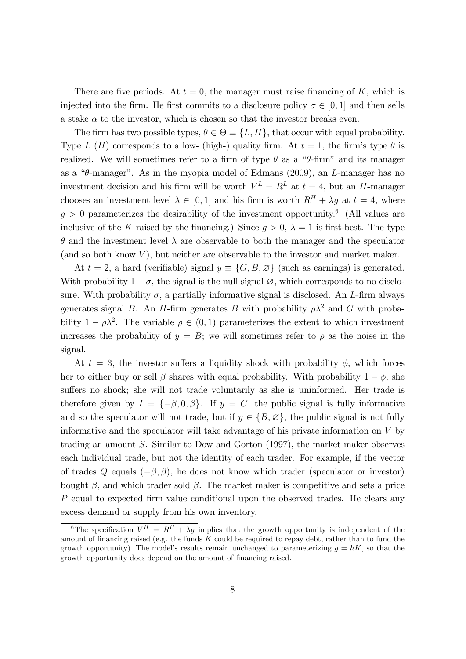There are five periods. At  $t = 0$ , the manager must raise financing of K, which is injected into the firm. He first commits to a disclosure policy  $\sigma \in [0, 1]$  and then sells a stake  $\alpha$  to the investor, which is chosen so that the investor breaks even.

The firm has two possible types,  $\theta \in \Theta \equiv \{L, H\}$ , that occur with equal probability. Type L (H) corresponds to a low- (high-) quality firm. At  $t = 1$ , the firm's type  $\theta$  is realized. We will sometimes refer to a firm of type  $\theta$  as a " $\theta$ -firm" and its manager as a  $\theta$ -manager". As in the myopia model of Edmans (2009), an L-manager has no investment decision and his firm will be worth  $V^L = R^L$  at  $t = 4$ , but an H-manager chooses an investment level  $\lambda \in [0, 1]$  and his firm is worth  $R^H + \lambda g$  at  $t = 4$ , where  $g > 0$  parameterizes the desirability of the investment opportunity.<sup>6</sup> (All values are inclusive of the K raised by the financing.) Since  $q > 0$ ,  $\lambda = 1$  is first-best. The type  $\theta$  and the investment level  $\lambda$  are observable to both the manager and the speculator (and so both know  $V$ ), but neither are observable to the investor and market maker.

At  $t = 2$ , a hard (verifiable) signal  $y \equiv \{G, B, \emptyset\}$  (such as earnings) is generated. With probability  $1 - \sigma$ , the signal is the null signal  $\varnothing$ , which corresponds to no disclosure. With probability  $\sigma$ , a partially informative signal is disclosed. An L-firm always generates signal B. An H-firm generates B with probability  $\rho \lambda^2$  and G with probability  $1 - \rho \lambda^2$ . The variable  $\rho \in (0, 1)$  parameterizes the extent to which investment increases the probability of  $y = B$ ; we will sometimes refer to  $\rho$  as the noise in the signal.

At  $t = 3$ , the investor suffers a liquidity shock with probability  $\phi$ , which forces her to either buy or sell  $\beta$  shares with equal probability. With probability  $1 - \phi$ , she suffers no shock; she will not trade voluntarily as she is uninformed. Her trade is therefore given by  $I = \{-\beta, 0, \beta\}$ . If  $y = G$ , the public signal is fully informative and so the speculator will not trade, but if  $y \in \{B, \emptyset\}$ , the public signal is not fully informative and the speculator will take advantage of his private information on V by trading an amount S. Similar to Dow and Gorton (1997), the market maker observes each individual trade, but not the identity of each trader. For example, if the vector of trades Q equals  $(-\beta, \beta)$ , he does not know which trader (speculator or investor) bought  $\beta$ , and which trader sold  $\beta$ . The market maker is competitive and sets a price  $P$  equal to expected firm value conditional upon the observed trades. He clears any excess demand or supply from his own inventory.

<sup>&</sup>lt;sup>6</sup>The specification  $V^H = R^H + \lambda g$  implies that the growth opportunity is independent of the amount of financing raised (e.g. the funds  $K$  could be required to repay debt, rather than to fund the growth opportunity). The model's results remain unchanged to parameterizing  $g = hK$ , so that the growth opportunity does depend on the amount of financing raised.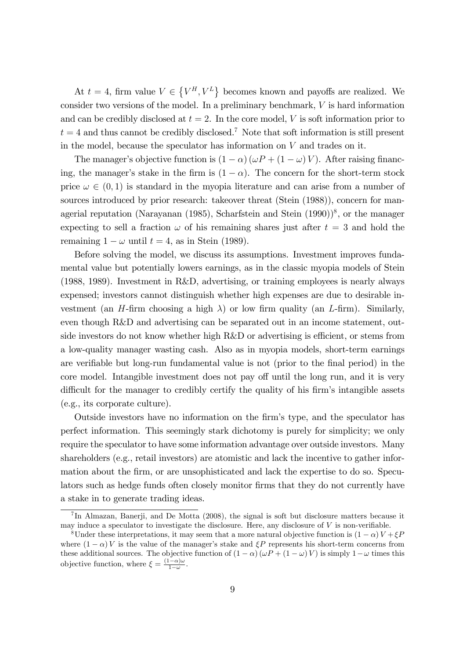At  $t = 4$ , firm value  $V \in \{V^H, V^L\}$  becomes known and payoffs are realized. We consider two versions of the model. In a preliminary benchmark, V is hard information and can be credibly disclosed at  $t = 2$ . In the core model, V is soft information prior to  $t = 4$  and thus cannot be credibly disclosed.<sup>7</sup> Note that soft information is still present in the model, because the speculator has information on  $V$  and trades on it.

The manager's objective function is  $(1 - \alpha) (\omega P + (1 - \omega) V)$ . After raising financing, the manager's stake in the firm is  $(1 - \alpha)$ . The concern for the short-term stock price  $\omega \in (0, 1)$  is standard in the myopia literature and can arise from a number of sources introduced by prior research: takeover threat (Stein  $(1988)$ ), concern for managerial reputation (Narayanan (1985), Scharfstein and Stein (1990))<sup>8</sup>, or the manager expecting to sell a fraction  $\omega$  of his remaining shares just after  $t = 3$  and hold the remaining  $1 - \omega$  until  $t = 4$ , as in Stein (1989).

Before solving the model, we discuss its assumptions. Investment improves fundamental value but potentially lowers earnings, as in the classic myopia models of Stein (1988, 1989). Investment in R&D, advertising, or training employees is nearly always expensed; investors cannot distinguish whether high expenses are due to desirable investment (an H-firm choosing a high  $\lambda$ ) or low firm quality (an L-firm). Similarly, even though R&D and advertising can be separated out in an income statement, outside investors do not know whether high  $R&D$  or advertising is efficient, or stems from a low-quality manager wasting cash. Also as in myopia models, short-term earnings are verifiable but long-run fundamental value is not (prior to the final period) in the core model. Intangible investment does not pay off until the long run, and it is very difficult for the manager to credibly certify the quality of his firm's intangible assets (e.g., its corporate culture).

Outside investors have no information on the Örmís type, and the speculator has perfect information. This seemingly stark dichotomy is purely for simplicity; we only require the speculator to have some information advantage over outside investors. Many shareholders (e.g., retail investors) are atomistic and lack the incentive to gather information about the firm, or are unsophisticated and lack the expertise to do so. Speculators such as hedge funds often closely monitor firms that they do not currently have a stake in to generate trading ideas.

<sup>&</sup>lt;sup>7</sup>In Almazan, Banerji, and De Motta (2008), the signal is soft but disclosure matters because it may induce a speculator to investigate the disclosure. Here, any disclosure of  $V$  is non-verifiable.

<sup>&</sup>lt;sup>8</sup>Under these interpretations, it may seem that a more natural objective function is  $(1 - \alpha) V + \xi P$ where  $(1 - \alpha)V$  is the value of the manager's stake and  $\epsilon P$  represents his short-term concerns from these additional sources. The objective function of  $(1 - \alpha)(\omega P + (1 - \omega)V)$  is simply  $1 - \omega$  times this objective function, where  $\xi = \frac{(1-\alpha)\omega}{1-\omega}$  $\frac{1-\alpha)\omega}{1-\omega}$ .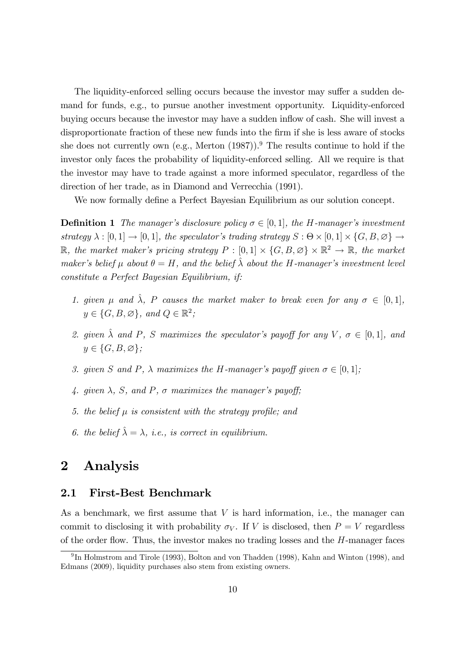The liquidity-enforced selling occurs because the investor may suffer a sudden demand for funds, e.g., to pursue another investment opportunity. Liquidity-enforced buying occurs because the investor may have a sudden inflow of cash. She will invest a disproportionate fraction of these new funds into the firm if she is less aware of stocks she does not currently own (e.g., Merton  $(1987)$ ).<sup>9</sup> The results continue to hold if the investor only faces the probability of liquidity-enforced selling. All we require is that the investor may have to trade against a more informed speculator, regardless of the direction of her trade, as in Diamond and Verrecchia (1991).

We now formally define a Perfect Bayesian Equilibrium as our solution concept.

**Definition 1** The manager's disclosure policy  $\sigma \in [0, 1]$ , the H-manager's investment strategy  $\lambda : [0,1] \to [0,1]$ , the speculator's trading strategy  $S : \Theta \times [0,1] \times \{G, B, \emptyset\} \to$  $\mathbb{R},$  the market maker's pricing strategy  $P : [0,1] \times \{G, B, \varnothing\} \times \mathbb{R}^2 \to \mathbb{R},$  the market maker's belief  $\mu$  about  $\theta = H$ , and the belief  $\hat{\lambda}$  about the H-manager's investment level constitute a Perfect Bayesian Equilibrium, if:

- 1. given  $\mu$  and  $\lambda$ , P causes the market maker to break even for any  $\sigma \in [0, 1],$  $y \in \{G, B, \varnothing\}$ , and  $Q \in \mathbb{R}^2$ ;
- 2. given  $\hat{\lambda}$  and P, S maximizes the speculator's payoff for any V,  $\sigma \in [0, 1]$ , and  $y \in \{G, B, \varnothing\};$
- 3. given S and P,  $\lambda$  maximizes the H-manager's payoff given  $\sigma \in [0,1]$ ;
- 4. given  $\lambda$ , S, and P,  $\sigma$  maximizes the manager's payoff;
- 5. the belief  $\mu$  is consistent with the strategy profile; and
- 6. the belief  $\hat{\lambda} = \lambda$ , i.e., is correct in equilibrium.

# 2 Analysis

### 2.1 First-Best Benchmark

As a benchmark, we first assume that  $V$  is hard information, i.e., the manager can commit to disclosing it with probability  $\sigma_V$ . If V is disclosed, then  $P = V$  regardless of the order flow. Thus, the investor makes no trading losses and the  $H$ -manager faces

<sup>&</sup>lt;sup>9</sup>In Holmstrom and Tirole (1993), Bolton and von Thadden (1998), Kahn and Winton (1998), and Edmans (2009), liquidity purchases also stem from existing owners.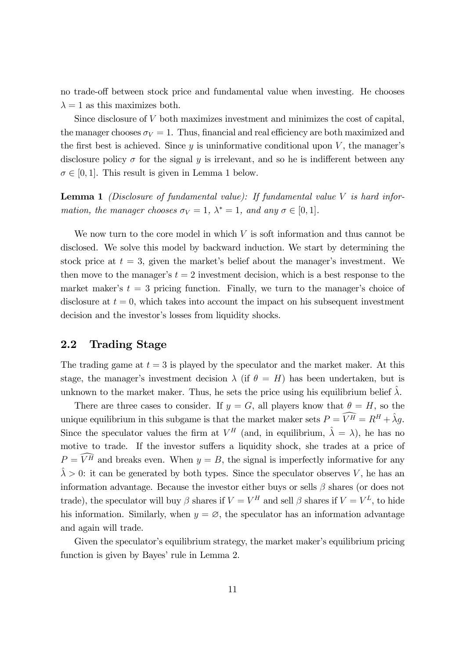no trade-off between stock price and fundamental value when investing. He chooses  $\lambda = 1$  as this maximizes both.

Since disclosure of V both maximizes investment and minimizes the cost of capital, the manager chooses  $\sigma_V = 1$ . Thus, financial and real efficiency are both maximized and the first best is achieved. Since  $y$  is uninformative conditional upon  $V$ , the manager's disclosure policy  $\sigma$  for the signal y is irrelevant, and so he is indifferent between any  $\sigma \in [0, 1]$ . This result is given in Lemma 1 below.

**Lemma 1** (Disclosure of fundamental value): If fundamental value  $V$  is hard information, the manager chooses  $\sigma_V = 1$ ,  $\lambda^* = 1$ , and any  $\sigma \in [0, 1]$ .

We now turn to the core model in which  $V$  is soft information and thus cannot be disclosed. We solve this model by backward induction. We start by determining the stock price at  $t = 3$ , given the market's belief about the manager's investment. We then move to the manager's  $t = 2$  investment decision, which is a best response to the market maker's  $t = 3$  pricing function. Finally, we turn to the manager's choice of disclosure at  $t = 0$ , which takes into account the impact on his subsequent investment decision and the investor's losses from liquidity shocks.

### 2.2 Trading Stage

The trading game at  $t = 3$  is played by the speculator and the market maker. At this stage, the manager's investment decision  $\lambda$  (if  $\theta = H$ ) has been undertaken, but is unknown to the market maker. Thus, he sets the price using his equilibrium belief  $\lambda$ .

There are three cases to consider. If  $y = G$ , all players know that  $\theta = H$ , so the unique equilibrium in this subgame is that the market maker sets  $P = \widehat{V^H} = R^H + \widehat{\lambda}g$ . Since the speculator values the firm at  $V^H$  (and, in equilibrium,  $\hat{\lambda} = \lambda$ ), he has no motive to trade. If the investor suffers a liquidity shock, she trades at a price of  $P = \widehat{V^H}$  and breaks even. When  $y = B$ , the signal is imperfectly informative for any  $\hat{\lambda} > 0$ : it can be generated by both types. Since the speculator observes V, he has an information advantage. Because the investor either buys or sells  $\beta$  shares (or does not trade), the speculator will buy  $\beta$  shares if  $V = V^H$  and sell  $\beta$  shares if  $V = V^L$ , to hide his information. Similarly, when  $y = \emptyset$ , the speculator has an information advantage and again will trade.

Given the speculator's equilibrium strategy, the market maker's equilibrium pricing function is given by Bayes' rule in Lemma 2.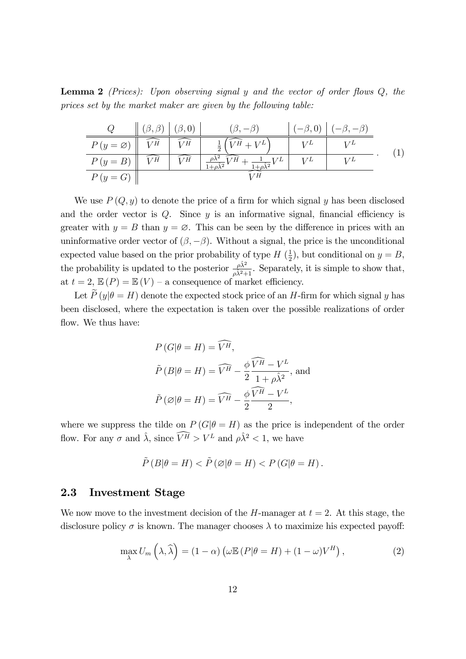**Lemma 2** (Prices): Upon observing signal y and the vector of order flows  $Q$ , the prices set by the market maker are given by the following table:

|                      |            | $(\beta, \beta)$ $(\beta, 0)$ | $(\beta, -\beta)$                                                                                          | $(-\beta,0)$ $(-\beta,-\beta)$ |  |
|----------------------|------------|-------------------------------|------------------------------------------------------------------------------------------------------------|--------------------------------|--|
| $P(y = \varnothing)$ | $\sqrt{V}$ | $\widehat{V^H}$               | $rac{1}{2}(\widehat{V^H}+V^L)$                                                                             |                                |  |
| $P(y = B)$           | $V^H$      | $V$ H                         | $\sqrt{\frac{\rho\hat{\lambda}^2}{1-\hat{\gamma}^2}\widehat{V}^H}+\frac{1}{1+\hat{\gamma}^2}\widehat{V}^L$ | $V^L$                          |  |
| $P(y = G)$           |            |                               | U≠                                                                                                         |                                |  |

We use  $P(Q, y)$  to denote the price of a firm for which signal y has been disclosed and the order vector is  $Q$ . Since  $y$  is an informative signal, financial efficiency is greater with  $y = B$  than  $y = \emptyset$ . This can be seen by the difference in prices with an uninformative order vector of  $(\beta, -\beta)$ . Without a signal, the price is the unconditional expected value based on the prior probability of type  $H\left(\frac{1}{2}\right)$  $(\frac{1}{2})$ , but conditional on  $y = B$ , the probability is updated to the posterior  $\frac{\rho \hat{\lambda}^2}{\rho \hat{\lambda}^2+1}$ . Separately, it is simple to show that, at  $t = 2$ ,  $\mathbb{E}(P) = \mathbb{E}(V)$  – a consequence of market efficiency.

Let  $\tilde{P}(y|\theta = H)$  denote the expected stock price of an H-firm for which signal y has been disclosed, where the expectation is taken over the possible realizations of order flow. We thus have:

$$
P(G|\theta = H) = \widehat{V^H},
$$
  
\n
$$
\tilde{P}(B|\theta = H) = \widehat{V^H} - \frac{\phi}{2} \frac{\widehat{V^H} - V^L}{1 + \rho \widehat{\lambda}^2},
$$
 and  
\n
$$
\tilde{P}(\emptyset|\theta = H) = \widehat{V^H} - \frac{\phi}{2} \frac{\widehat{V^H} - V^L}{2},
$$

where we suppress the tilde on  $P(G|\theta = H)$  as the price is independent of the order flow. For any  $\sigma$  and  $\hat{\lambda}$ , since  $\widehat{V^H} > V^L$  and  $\rho \hat{\lambda}^2 < 1$ , we have

$$
\tilde{P}(B|\theta = H) < \tilde{P}(\varnothing|\theta = H) < P(G|\theta = H).
$$

### 2.3 Investment Stage

We now move to the investment decision of the  $H$ -manager at  $t = 2$ . At this stage, the disclosure policy  $\sigma$  is known. The manager chooses  $\lambda$  to maximize his expected payoff:

$$
\max_{\lambda} U_m\left(\lambda, \widehat{\lambda}\right) = (1 - \alpha) \left(\omega \mathbb{E}\left(P|\theta = H\right) + (1 - \omega)V^H\right),\tag{2}
$$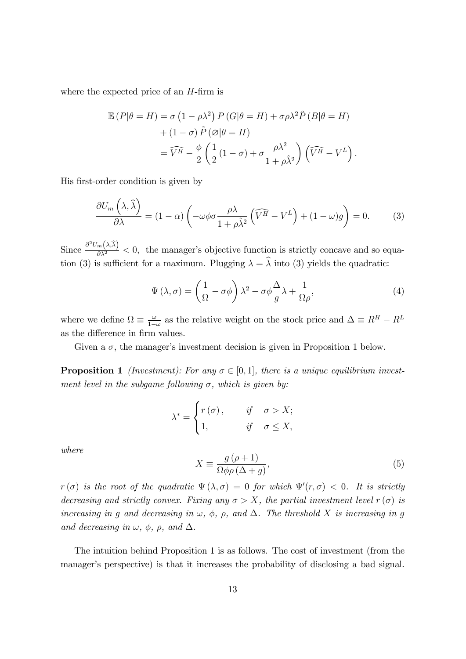where the expected price of an  $H$ -firm is

$$
\mathbb{E}\left(P|\theta = H\right) = \sigma\left(1 - \rho\lambda^2\right)P\left(G|\theta = H\right) + \sigma\rho\lambda^2\tilde{P}\left(B|\theta = H\right) \n+ (1 - \sigma)\tilde{P}\left(\varnothing|\theta = H\right) \n= \widehat{V^H} - \frac{\phi}{2}\left(\frac{1}{2}\left(1 - \sigma\right) + \sigma\frac{\rho\lambda^2}{1 + \rho\hat{\lambda}^2}\right)\left(\widehat{V^H} - V^L\right).
$$

His first-order condition is given by

$$
\frac{\partial U_m(\lambda, \hat{\lambda})}{\partial \lambda} = (1 - \alpha) \left( -\omega \phi \sigma \frac{\rho \lambda}{1 + \rho \hat{\lambda}^2} \left( \widehat{V^H} - V^L \right) + (1 - \omega) g \right) = 0. \tag{3}
$$

Since  $\frac{\partial^2 U_m(\lambda,\hat{\lambda})}{\partial \lambda^2}$  < 0, the manager's objective function is strictly concave and so equation (3) is sufficient for a maximum. Plugging  $\lambda = \hat{\lambda}$  into (3) yields the quadratic:

$$
\Psi(\lambda,\sigma) = \left(\frac{1}{\Omega} - \sigma\phi\right)\lambda^2 - \sigma\phi\frac{\Delta}{g}\lambda + \frac{1}{\Omega\rho},\tag{4}
$$

where we define  $\Omega \equiv \frac{\omega}{1-\omega}$  $\frac{\omega}{1-\omega}$  as the relative weight on the stock price and  $\Delta \equiv R^H - R^L$ as the difference in firm values.

Given a  $\sigma$ , the manager's investment decision is given in Proposition 1 below.

**Proposition 1** (Investment): For any  $\sigma \in [0, 1]$ , there is a unique equilibrium investment level in the subgame following  $\sigma$ , which is given by:

$$
\lambda^* = \begin{cases} r(\sigma), & \text{if } \sigma > X; \\ 1, & \text{if } \sigma \le X, \end{cases}
$$

where

$$
X \equiv \frac{g(\rho + 1)}{\Omega \phi \rho (\Delta + g)},\tag{5}
$$

 $r(\sigma)$  is the root of the quadratic  $\Psi(\lambda, \sigma) = 0$  for which  $\Psi'(r, \sigma) < 0$ . It is strictly decreasing and strictly convex. Fixing any  $\sigma > X$ , the partial investment level  $r(\sigma)$  is increasing in g and decreasing in  $\omega$ ,  $\phi$ ,  $\rho$ , and  $\Delta$ . The threshold X is increasing in g and decreasing in  $\omega$ ,  $\phi$ ,  $\rho$ , and  $\Delta$ .

The intuition behind Proposition 1 is as follows. The cost of investment (from the manager's perspective) is that it increases the probability of disclosing a bad signal.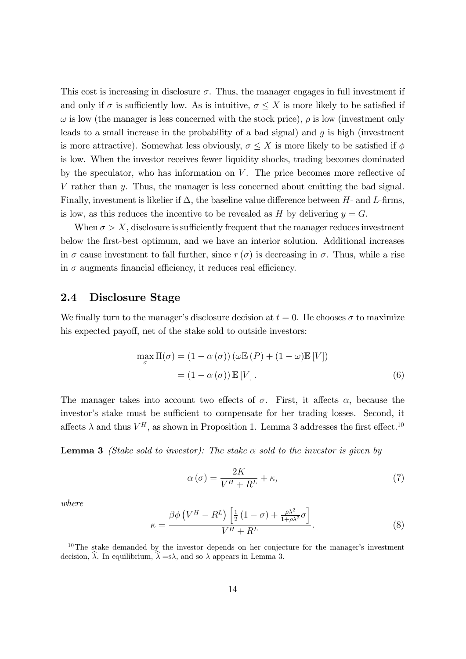This cost is increasing in disclosure  $\sigma$ . Thus, the manager engages in full investment if and only if  $\sigma$  is sufficiently low. As is intuitive,  $\sigma \leq X$  is more likely to be satisfied if  $\omega$  is low (the manager is less concerned with the stock price),  $\rho$  is low (investment only leads to a small increase in the probability of a bad signal) and  $g$  is high (investment is more attractive). Somewhat less obviously,  $\sigma \leq X$  is more likely to be satisfied if  $\phi$ is low. When the investor receives fewer liquidity shocks, trading becomes dominated by the speculator, who has information on  $V$ . The price becomes more reflective of V rather than y. Thus, the manager is less concerned about emitting the bad signal. Finally, investment is likelier if  $\Delta$ , the baseline value difference between H- and L-firms, is low, as this reduces the incentive to be revealed as H by delivering  $y = G$ .

When  $\sigma > X$ , disclosure is sufficiently frequent that the manager reduces investment below the Örst-best optimum, and we have an interior solution. Additional increases in  $\sigma$  cause investment to fall further, since  $r(\sigma)$  is decreasing in  $\sigma$ . Thus, while a rise in  $\sigma$  augments financial efficiency, it reduces real efficiency.

### 2.4 Disclosure Stage

We finally turn to the manager's disclosure decision at  $t = 0$ . He chooses  $\sigma$  to maximize his expected payoff, net of the stake sold to outside investors:

$$
\max_{\sigma} \Pi(\sigma) = (1 - \alpha(\sigma)) (\omega \mathbb{E}(P) + (1 - \omega) \mathbb{E}[V])
$$

$$
= (1 - \alpha(\sigma)) \mathbb{E}[V]. \tag{6}
$$

The manager takes into account two effects of  $\sigma$ . First, it affects  $\alpha$ , because the investor's stake must be sufficient to compensate for her trading losses. Second, it affects  $\lambda$  and thus  $V^H$ , as shown in Proposition 1. Lemma 3 addresses the first effect.<sup>10</sup>

**Lemma 3** (Stake sold to investor): The stake  $\alpha$  sold to the investor is given by

$$
\alpha\left(\sigma\right) = \frac{2K}{V^H + R^L} + \kappa,\tag{7}
$$

where

$$
\kappa = \frac{\beta \phi \left( V^H - R^L \right) \left[ \frac{1}{2} \left( 1 - \sigma \right) + \frac{\rho \lambda^2}{1 + \rho \lambda^2} \sigma \right]}{V^H + R^L}.
$$
\n(8)

 $10$ The stake demanded by the investor depends on her conjecture for the manager's investment decision,  $\widehat{\lambda}$ . In equilibrium,  $\widehat{\lambda} = s\lambda$ , and so  $\lambda$  appears in Lemma 3.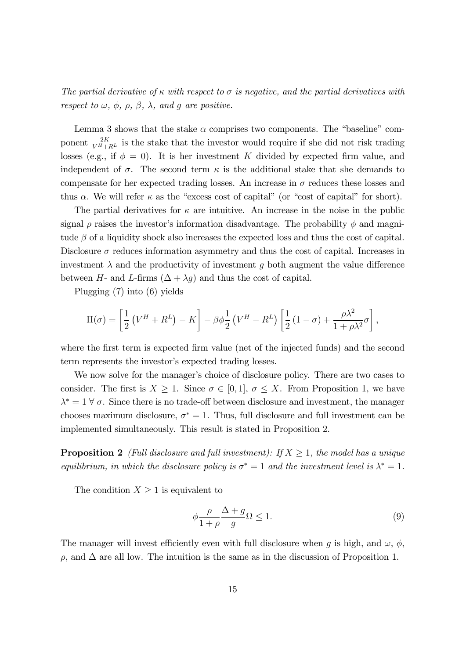The partial derivative of  $\kappa$  with respect to  $\sigma$  is negative, and the partial derivatives with respect to  $\omega, \phi, \rho, \beta, \lambda$ , and g are positive.

Lemma 3 shows that the stake  $\alpha$  comprises two components. The "baseline" component  $\frac{2K}{V^H + R^L}$  is the stake that the investor would require if she did not risk trading losses (e.g., if  $\phi = 0$ ). It is her investment K divided by expected firm value, and independent of  $\sigma$ . The second term  $\kappa$  is the additional stake that she demands to compensate for her expected trading losses. An increase in  $\sigma$  reduces these losses and thus  $\alpha$ . We will refer  $\kappa$  as the "excess cost of capital" (or "cost of capital" for short).

The partial derivatives for  $\kappa$  are intuitive. An increase in the noise in the public signal  $\rho$  raises the investor's information disadvantage. The probability  $\phi$  and magnitude  $\beta$  of a liquidity shock also increases the expected loss and thus the cost of capital. Disclosure  $\sigma$  reduces information asymmetry and thus the cost of capital. Increases in investment  $\lambda$  and the productivity of investment q both augment the value difference between H- and L-firms  $(\Delta + \lambda q)$  and thus the cost of capital.

Plugging (7) into (6) yields

$$
\Pi(\sigma) = \left[\frac{1}{2}\left(V^H + R^L\right) - K\right] - \beta\phi \frac{1}{2}\left(V^H - R^L\right)\left[\frac{1}{2}\left(1 - \sigma\right) + \frac{\rho\lambda^2}{1 + \rho\lambda^2}\sigma\right],
$$

where the first term is expected firm value (net of the injected funds) and the second term represents the investor's expected trading losses.

We now solve for the manager's choice of disclosure policy. There are two cases to consider. The first is  $X \geq 1$ . Since  $\sigma \in [0, 1], \sigma \leq X$ . From Proposition 1, we have  $\lambda^* = 1 \forall \sigma$ . Since there is no trade-off between disclosure and investment, the manager chooses maximum disclosure,  $\sigma^* = 1$ . Thus, full disclosure and full investment can be implemented simultaneously. This result is stated in Proposition 2.

**Proposition 2** (Full disclosure and full investment): If  $X \geq 1$ , the model has a unique equilibrium, in which the disclosure policy is  $\sigma^* = 1$  and the investment level is  $\lambda^* = 1$ .

The condition  $X \geq 1$  is equivalent to

$$
\phi \frac{\rho}{1+\rho} \frac{\Delta + g}{g} \Omega \le 1. \tag{9}
$$

The manager will invest efficiently even with full disclosure when q is high, and  $\omega$ ,  $\phi$ .  $\rho$ , and  $\Delta$  are all low. The intuition is the same as in the discussion of Proposition 1.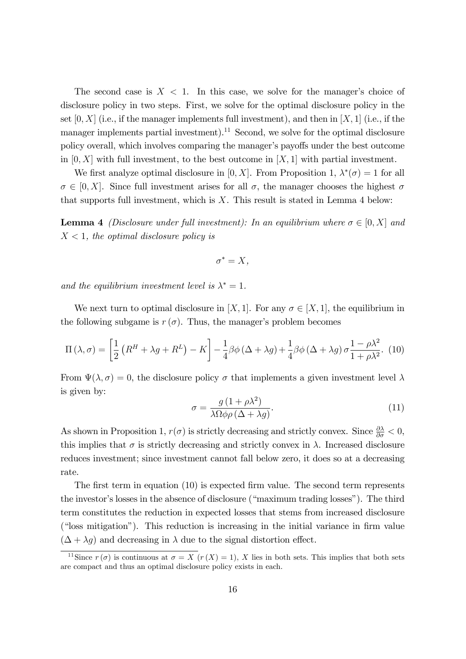The second case is  $X < 1$ . In this case, we solve for the manager's choice of disclosure policy in two steps. First, we solve for the optimal disclosure policy in the set  $[0, X]$  (i.e., if the manager implements full investment), and then in [X, 1] (i.e., if the manager implements partial investment).<sup>11</sup> Second, we solve for the optimal disclosure policy overall, which involves comparing the manager's payoffs under the best outcome in  $[0, X]$  with full investment, to the best outcome in  $[X, 1]$  with partial investment.

We first analyze optimal disclosure in [0, X]. From Proposition 1,  $\lambda^*(\sigma) = 1$  for all  $\sigma \in [0, X]$ . Since full investment arises for all  $\sigma$ , the manager chooses the highest  $\sigma$ that supports full investment, which is  $X$ . This result is stated in Lemma 4 below:

**Lemma 4** (Disclosure under full investment): In an equilibrium where  $\sigma \in [0, X]$  and  $X < 1$ , the optimal disclosure policy is

$$
\sigma^* = X,
$$

and the equilibrium investment level is  $\lambda^* = 1$ .

We next turn to optimal disclosure in [X, 1]. For any  $\sigma \in [X, 1]$ , the equilibrium in the following subgame is  $r(\sigma)$ . Thus, the manager's problem becomes

$$
\Pi(\lambda,\sigma) = \left[\frac{1}{2}\left(R^H + \lambda g + R^L\right) - K\right] - \frac{1}{4}\beta\phi\left(\Delta + \lambda g\right) + \frac{1}{4}\beta\phi\left(\Delta + \lambda g\right)\sigma\frac{1-\rho\lambda^2}{1+\rho\lambda^2}.
$$
 (10)

From  $\Psi(\lambda, \sigma) = 0$ , the disclosure policy  $\sigma$  that implements a given investment level  $\lambda$ is given by:

$$
\sigma = \frac{g(1+\rho\lambda^2)}{\lambda\Omega\phi\rho(\Delta+\lambda g)}.\tag{11}
$$

As shown in Proposition 1,  $r(\sigma)$  is strictly decreasing and strictly convex. Since  $\frac{\partial \lambda}{\partial \sigma} < 0$ , this implies that  $\sigma$  is strictly decreasing and strictly convex in  $\lambda$ . Increased disclosure reduces investment; since investment cannot fall below zero, it does so at a decreasing rate.

The first term in equation  $(10)$  is expected firm value. The second term represents the investor's losses in the absence of disclosure ("maximum trading losses"). The third term constitutes the reduction in expected losses that stems from increased disclosure ("loss mitigation"). This reduction is increasing in the initial variance in firm value  $(\Delta + \lambda g)$  and decreasing in  $\lambda$  due to the signal distortion effect.

<sup>&</sup>lt;sup>11</sup>Since  $r(\sigma)$  is continuous at  $\sigma = X$  ( $r(X) = 1$ ), X lies in both sets. This implies that both sets are compact and thus an optimal disclosure policy exists in each.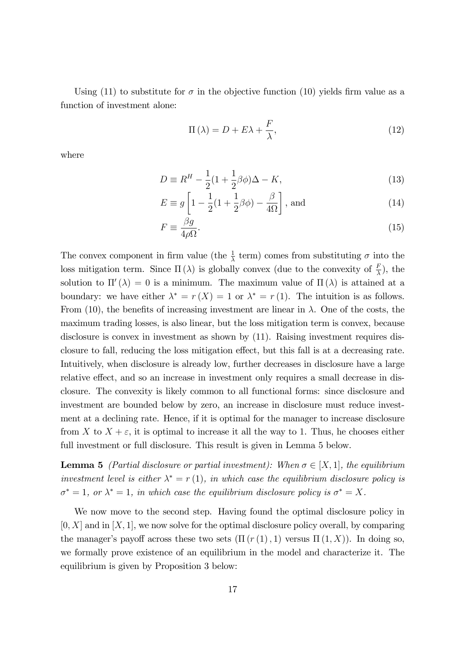Using (11) to substitute for  $\sigma$  in the objective function (10) yields firm value as a function of investment alone:

$$
\Pi(\lambda) = D + E\lambda + \frac{F}{\lambda},\tag{12}
$$

where

$$
D \equiv R^H - \frac{1}{2}(1 + \frac{1}{2}\beta\phi)\Delta - K,\tag{13}
$$

$$
E \equiv g \left[ 1 - \frac{1}{2} (1 + \frac{1}{2} \beta \phi) - \frac{\beta}{4\Omega} \right], \text{ and}
$$
 (14)

$$
F \equiv \frac{\beta g}{4\rho \Omega}.\tag{15}
$$

The convex component in firm value (the  $\frac{1}{\lambda}$  term) comes from substituting  $\sigma$  into the loss mitigation term. Since  $\Pi(\lambda)$  is globally convex (due to the convexity of  $\frac{F}{\lambda}$ ), the solution to  $\Pi'(\lambda) = 0$  is a minimum. The maximum value of  $\Pi(\lambda)$  is attained at a boundary: we have either  $\lambda^* = r(X) = 1$  or  $\lambda^* = r(1)$ . The intuition is as follows. From (10), the benefits of increasing investment are linear in  $\lambda$ . One of the costs, the maximum trading losses, is also linear, but the loss mitigation term is convex, because disclosure is convex in investment as shown by  $(11)$ . Raising investment requires disclosure to fall, reducing the loss mitigation effect, but this fall is at a decreasing rate. Intuitively, when disclosure is already low, further decreases in disclosure have a large relative effect, and so an increase in investment only requires a small decrease in disclosure. The convexity is likely common to all functional forms: since disclosure and investment are bounded below by zero, an increase in disclosure must reduce investment at a declining rate. Hence, if it is optimal for the manager to increase disclosure from X to  $X + \varepsilon$ , it is optimal to increase it all the way to 1. Thus, he chooses either full investment or full disclosure. This result is given in Lemma 5 below.

**Lemma 5** (Partial disclosure or partial investment): When  $\sigma \in [X,1]$ , the equilibrium investment level is either  $\lambda^* = r(1)$ , in which case the equilibrium disclosure policy is  $\sigma^* = 1$ , or  $\lambda^* = 1$ , in which case the equilibrium disclosure policy is  $\sigma^* = X$ .

We now move to the second step. Having found the optimal disclosure policy in  $[0, X]$  and in  $[X, 1]$ , we now solve for the optimal disclosure policy overall, by comparing the manager's payoff across these two sets  $(\Pi(r(1), 1)$  versus  $\Pi(1, X)$ ). In doing so, we formally prove existence of an equilibrium in the model and characterize it. The equilibrium is given by Proposition 3 below: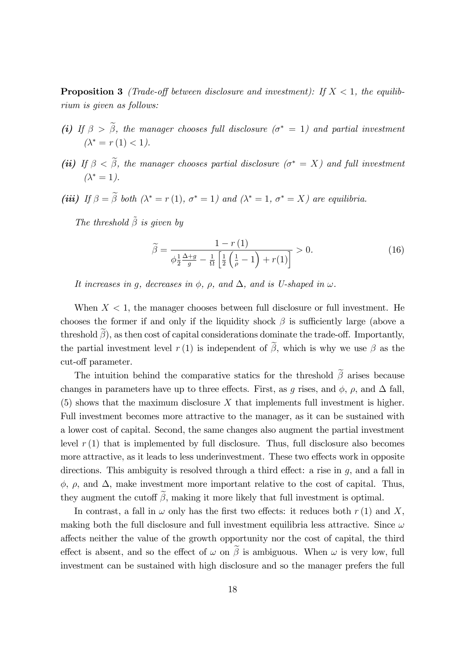**Proposition 3** (Trade-off between disclosure and investment): If  $X < 1$ , the equilibrium is given as follows:

- (i) If  $\beta > \beta$ , the manager chooses full disclosure  $(\sigma^* = 1)$  and partial investment  $(\lambda^* = r(1) < 1).$
- (ii) If  $\beta < \beta$ , the manager chooses partial disclosure  $(\sigma^* = X)$  and full investment  $(\lambda^* = 1).$
- (iii) If  $\beta = \beta$  both  $(\lambda^* = r(1), \sigma^* = 1)$  and  $(\lambda^* = 1, \sigma^* = X)$  are equilibria.

The threshold  $\tilde{\beta}$  is given by

$$
\widetilde{\beta} = \frac{1 - r(1)}{\phi \frac{1}{2} \frac{\Delta + g}{g} - \frac{1}{\Omega} \left[ \frac{1}{2} \left( \frac{1}{\rho} - 1 \right) + r(1) \right]} > 0. \tag{16}
$$

It increases in g, decreases in  $\phi$ ,  $\rho$ , and  $\Delta$ , and is U-shaped in  $\omega$ .

When  $X < 1$ , the manager chooses between full disclosure or full investment. He chooses the former if and only if the liquidity shock  $\beta$  is sufficiently large (above a threshold  $\hat{\beta}$ ), as then cost of capital considerations dominate the trade-off. Importantly, the partial investment level  $r(1)$  is independent of  $\tilde{\beta}$ , which is why we use  $\beta$  as the cut-off parameter.

The intuition behind the comparative statics for the threshold  $\tilde{\beta}$  arises because changes in parameters have up to three effects. First, as g rises, and  $\phi$ ,  $\rho$ , and  $\Delta$  fall, (5) shows that the maximum disclosure X that implements full investment is higher. Full investment becomes more attractive to the manager, as it can be sustained with a lower cost of capital. Second, the same changes also augment the partial investment level  $r(1)$  that is implemented by full disclosure. Thus, full disclosure also becomes more attractive, as it leads to less underinvestment. These two effects work in opposite directions. This ambiguity is resolved through a third effect: a rise in  $g$ , and a fall in  $\phi$ ,  $\rho$ , and  $\Delta$ , make investment more important relative to the cost of capital. Thus, they augment the cutoff  $\tilde{\beta}$ , making it more likely that full investment is optimal.

In contrast, a fall in  $\omega$  only has the first two effects: it reduces both  $r(1)$  and X. making both the full disclosure and full investment equilibria less attractive. Since  $\omega$ affects neither the value of the growth opportunity nor the cost of capital, the third effect is absent, and so the effect of  $\omega$  on  $\tilde{\beta}$  is ambiguous. When  $\omega$  is very low, full investment can be sustained with high disclosure and so the manager prefers the full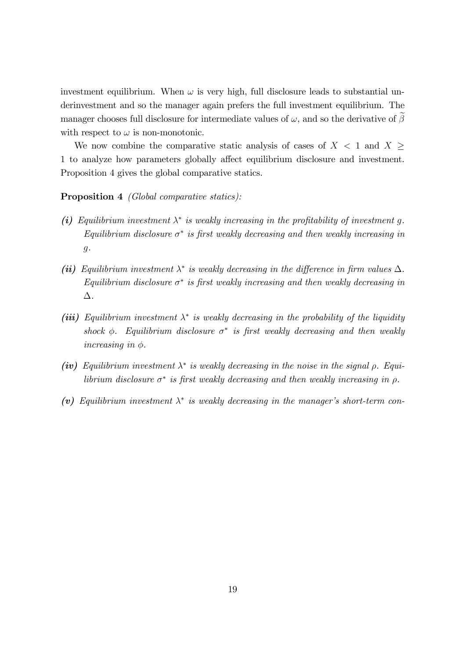investment equilibrium. When  $\omega$  is very high, full disclosure leads to substantial underinvestment and so the manager again prefers the full investment equilibrium. The manager chooses full disclosure for intermediate values of  $\omega$ , and so the derivative of  $\beta$ with respect to  $\omega$  is non-monotonic.

We now combine the comparative static analysis of cases of  $X < 1$  and  $X \geq$ 1 to analyze how parameters globally affect equilibrium disclosure and investment. Proposition 4 gives the global comparative statics.

Proposition 4 *(Global comparative statics)*:

- (i) Equilibrium investment  $\lambda^*$  is weakly increasing in the profitability of investment g. Equilibrium disclosure  $\sigma^*$  is first weakly decreasing and then weakly increasing in g.
- (ii) Equilibrium investment  $\lambda^*$  is weakly decreasing in the difference in firm values  $\Delta$ . Equilibrium disclosure  $\sigma^*$  is first weakly increasing and then weakly decreasing in  $\Delta$ .
- (iii) Equilibrium investment  $\lambda^*$  is weakly decreasing in the probability of the liquidity shock  $\phi$ . Equilibrium disclosure  $\sigma^*$  is first weakly decreasing and then weakly increasing in  $\phi$ .
- (iv) Equilibrium investment  $\lambda^*$  is weakly decreasing in the noise in the signal  $\rho$ . Equilibrium disclosure  $\sigma^*$  is first weakly decreasing and then weakly increasing in  $\rho$ .
- (v) Equilibrium investment  $\lambda^*$  is weakly decreasing in the manager's short-term con-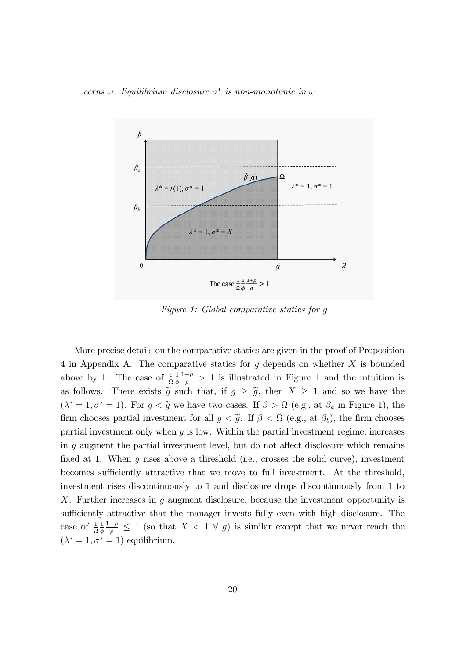cerns  $\omega$ . Equilibrium disclosure  $\sigma^*$  is non-monotonic in  $\omega$ .



Figure 1: Global comparative statics for g

More precise details on the comparative statics are given in the proof of Proposition 4 in Appendix A. The comparative statics for  $g$  depends on whether  $X$  is bounded above by 1. The case of  $\frac{1}{\Omega} \frac{1}{\phi}$  $\phi$  $1+\rho$  $\frac{+\rho}{\rho} > 1$  is illustrated in Figure 1 and the intuition is as follows. There exists  $\tilde{g}$  such that, if  $g \geq \tilde{g}$ , then  $X \geq 1$  and so we have the  $(\lambda^* = 1, \sigma^* = 1)$ . For  $g < \tilde{g}$  we have two cases. If  $\beta > \Omega$  (e.g., at  $\beta_a$  in Figure 1), the firm chooses partial investment for all  $g < \tilde{g}$ . If  $\beta < \Omega$  (e.g., at  $\beta_b$ ), the firm chooses partial investment only when  $q$  is low. Within the partial investment regime, increases in  $q$  augment the partial investment level, but do not affect disclosure which remains fixed at 1. When  $q$  rises above a threshold (i.e., crosses the solid curve), investment becomes sufficiently attractive that we move to full investment. At the threshold, investment rises discontinuously to 1 and disclosure drops discontinuously from 1 to X. Further increases in g augment disclosure, because the investment opportunity is sufficiently attractive that the manager invests fully even with high disclosure. The case of  $\frac{1}{\Omega} \frac{1}{\phi}$  $\phi$  $\frac{1+\rho}{\rho} \leq 1$  (so that  $X < 1 \ \forall \ g$ ) is similar except that we never reach the  $(\lambda^* = 1, \sigma^* = 1)$  equilibrium.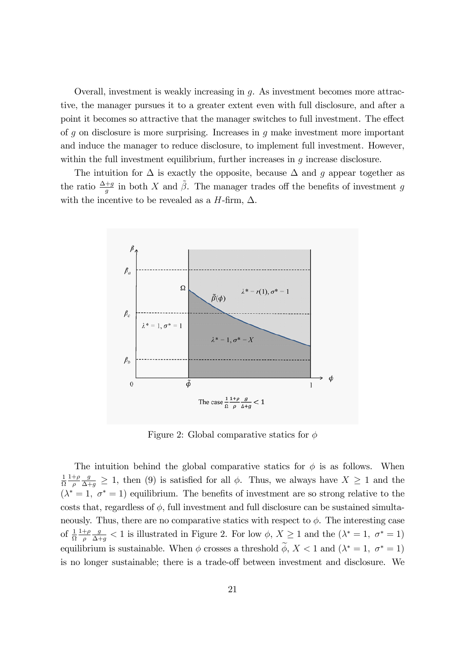Overall, investment is weakly increasing in g. As investment becomes more attractive, the manager pursues it to a greater extent even with full disclosure, and after a point it becomes so attractive that the manager switches to full investment. The effect of g on disclosure is more surprising. Increases in g make investment more important and induce the manager to reduce disclosure, to implement full investment. However, within the full investment equilibrium, further increases in  $q$  increase disclosure.

The intuition for  $\Delta$  is exactly the opposite, because  $\Delta$  and g appear together as the ratio  $\frac{\Delta + g}{g}$  in both X and  $\tilde{\beta}$ . The manager trades off the benefits of investment g with the incentive to be revealed as a  $H$ -firm,  $\Delta$ .



Figure 2: Global comparative statics for  $\phi$ 

The intuition behind the global comparative statics for  $\phi$  is as follows. When 1 Ω  $1+\rho$  $\rho$  $\frac{g}{\Delta+g} \geq 1$ , then (9) is satisfied for all  $\phi$ . Thus, we always have  $X \geq 1$  and the  $(\lambda^* = 1, \sigma^* = 1)$  equilibrium. The benefits of investment are so strong relative to the costs that, regardless of  $\phi$ , full investment and full disclosure can be sustained simultaneously. Thus, there are no comparative statics with respect to  $\phi$ . The interesting case of  $\frac{1}{\Omega}$  $1+\rho$  $\rho$ g  $\frac{g}{\Delta+g}$  < 1 is illustrated in Figure 2. For low  $\phi$ ,  $X \ge 1$  and the  $(\lambda^* = 1, \sigma^* = 1)$ equilibrium is sustainable. When  $\phi$  crosses a threshold  $\phi$ ,  $X < 1$  and  $(\lambda^* = 1, \sigma^* = 1)$ is no longer sustainable; there is a trade-off between investment and disclosure. We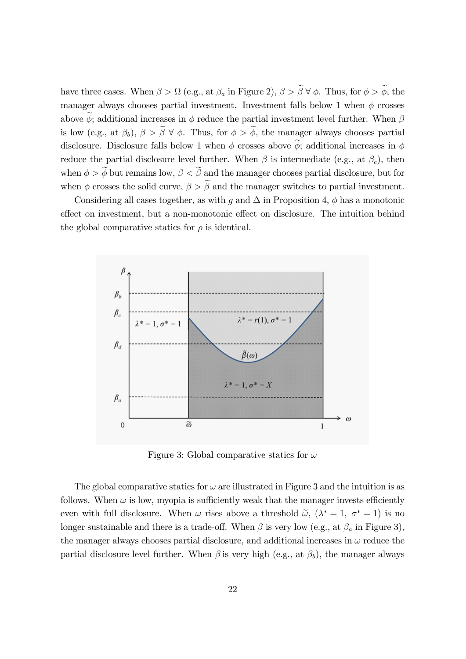have three cases. When  $\beta > \Omega$  (e.g., at  $\beta_a$  in Figure 2),  $\beta > \beta \ \forall \ \phi$ . Thus, for  $\phi > \phi$ , the manager always chooses partial investment. Investment falls below 1 when  $\phi$  crosses above  $\phi$ ; additional increases in  $\phi$  reduce the partial investment level further. When  $\beta$ is low (e.g., at  $\beta_b$ ),  $\beta > \tilde{\beta} \ \forall \phi$ . Thus, for  $\phi > \tilde{\phi}$ , the manager always chooses partial disclosure. Disclosure falls below 1 when  $\phi$  crosses above  $\phi$ ; additional increases in  $\phi$ reduce the partial disclosure level further. When  $\beta$  is intermediate (e.g., at  $\beta_c$ ), then when  $\phi > \widetilde{\phi}$  but remains low,  $\beta < \widetilde{\beta}$  and the manager chooses partial disclosure, but for when  $\phi$  crosses the solid curve,  $\beta > \tilde{\beta}$  and the manager switches to partial investment.

Considering all cases together, as with g and  $\Delta$  in Proposition 4,  $\phi$  has a monotonic effect on investment, but a non-monotonic effect on disclosure. The intuition behind the global comparative statics for  $\rho$  is identical.



Figure 3: Global comparative statics for  $\omega$ 

The global comparative statics for  $\omega$  are illustrated in Figure 3 and the intuition is as follows. When  $\omega$  is low, myopia is sufficiently weak that the manager invests efficiently even with full disclosure. When  $\omega$  rises above a threshold  $\tilde{\omega}$ ,  $(\lambda^* = 1, \sigma^* = 1)$  is no longer sustainable and there is a trade-off. When  $\beta$  is very low (e.g., at  $\beta_a$  in Figure 3), the manager always chooses partial disclosure, and additional increases in  $\omega$  reduce the partial disclosure level further. When  $\beta$  is very high (e.g., at  $\beta_b$ ), the manager always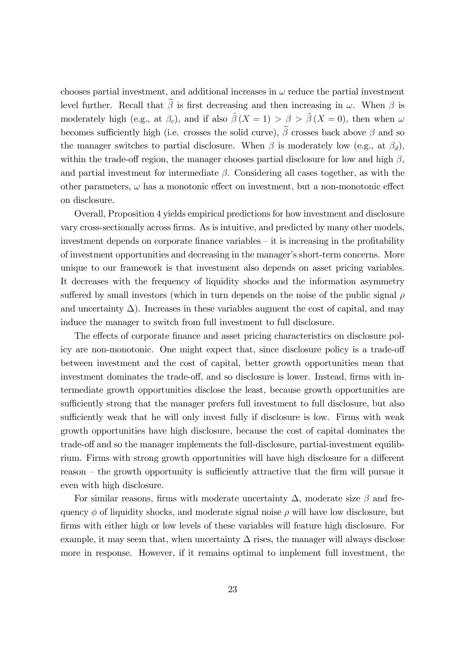chooses partial investment, and additional increases in  $\omega$  reduce the partial investment level further. Recall that  $\tilde{\beta}$  is first decreasing and then increasing in  $\omega$ . When  $\beta$  is moderately high (e.g., at  $\beta_c$ ), and if also  $\tilde{\beta}(X=1) > \beta > \tilde{\beta}(X=0)$ , then when  $\omega$ becomes sufficiently high (i.e. crosses the solid curve),  $\beta$  crosses back above  $\beta$  and so the manager switches to partial disclosure. When  $\beta$  is moderately low (e.g., at  $\beta_d$ ), within the trade-off region, the manager chooses partial disclosure for low and high  $\beta$ , and partial investment for intermediate  $\beta$ . Considering all cases together, as with the other parameters,  $\omega$  has a monotonic effect on investment, but a non-monotonic effect on disclosure.

Overall, Proposition 4 yields empirical predictions for how investment and disclosure vary cross-sectionally across Örms. As is intuitive, and predicted by many other models, investment depends on corporate finance variables  $-$  it is increasing in the profitability of investment opportunities and decreasing in the managerís short-term concerns. More unique to our framework is that investment also depends on asset pricing variables. It decreases with the frequency of liquidity shocks and the information asymmetry suffered by small investors (which in turn depends on the noise of the public signal  $\rho$ and uncertainty  $\Delta$ ). Increases in these variables augment the cost of capital, and may induce the manager to switch from full investment to full disclosure.

The effects of corporate finance and asset pricing characteristics on disclosure policy are non-monotonic. One might expect that, since disclosure policy is a trade-off between investment and the cost of capital, better growth opportunities mean that investment dominates the trade-off, and so disclosure is lower. Instead, firms with intermediate growth opportunities disclose the least, because growth opportunities are sufficiently strong that the manager prefers full investment to full disclosure, but also sufficiently weak that he will only invest fully if disclosure is low. Firms with weak growth opportunities have high disclosure, because the cost of capital dominates the trade-off and so the manager implements the full-disclosure, partial-investment equilibrium. Firms with strong growth opportunities will have high disclosure for a different reason – the growth opportunity is sufficiently attractive that the firm will pursue it even with high disclosure.

For similar reasons, firms with moderate uncertainty  $\Delta$ , moderate size  $\beta$  and frequency  $\phi$  of liquidity shocks, and moderate signal noise  $\rho$  will have low disclosure, but firms with either high or low levels of these variables will feature high disclosure. For example, it may seem that, when uncertainty  $\Delta$  rises, the manager will always disclose more in response. However, if it remains optimal to implement full investment, the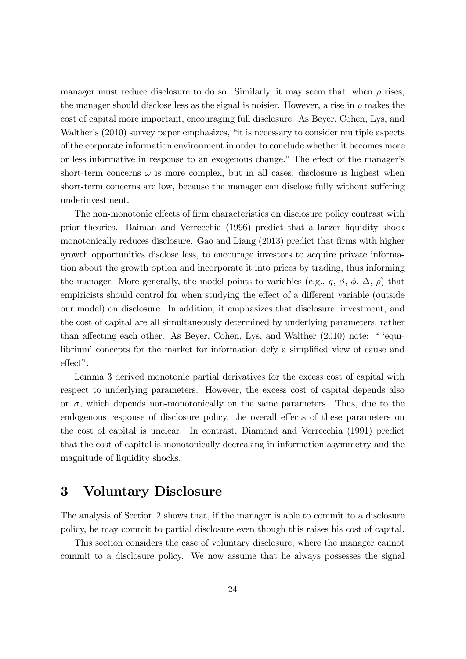manager must reduce disclosure to do so. Similarly, it may seem that, when  $\rho$  rises, the manager should disclose less as the signal is noisier. However, a rise in  $\rho$  makes the cost of capital more important, encouraging full disclosure. As Beyer, Cohen, Lys, and Walther's (2010) survey paper emphasizes, "it is necessary to consider multiple aspects of the corporate information environment in order to conclude whether it becomes more or less informative in response to an exogenous change." The effect of the manager's short-term concerns  $\omega$  is more complex, but in all cases, disclosure is highest when short-term concerns are low, because the manager can disclose fully without suffering underinvestment.

The non-monotonic effects of firm characteristics on disclosure policy contrast with prior theories. Baiman and Verrecchia (1996) predict that a larger liquidity shock monotonically reduces disclosure. Gao and Liang (2013) predict that firms with higher growth opportunities disclose less, to encourage investors to acquire private information about the growth option and incorporate it into prices by trading, thus informing the manager. More generally, the model points to variables (e.g.,  $g, \beta, \phi, \Delta, \rho$ ) that empiricists should control for when studying the effect of a different variable (outside our model) on disclosure. In addition, it emphasizes that disclosure, investment, and the cost of capital are all simultaneously determined by underlying parameters, rather than affecting each other. As Beyer, Cohen, Lys, and Walther (2010) note: " 'equilibrium' concepts for the market for information defy a simplified view of cause and effect".

Lemma 3 derived monotonic partial derivatives for the excess cost of capital with respect to underlying parameters. However, the excess cost of capital depends also on  $\sigma$ , which depends non-monotonically on the same parameters. Thus, due to the endogenous response of disclosure policy, the overall effects of these parameters on the cost of capital is unclear. In contrast, Diamond and Verrecchia (1991) predict that the cost of capital is monotonically decreasing in information asymmetry and the magnitude of liquidity shocks.

### 3 Voluntary Disclosure

The analysis of Section 2 shows that, if the manager is able to commit to a disclosure policy, he may commit to partial disclosure even though this raises his cost of capital.

This section considers the case of voluntary disclosure, where the manager cannot commit to a disclosure policy. We now assume that he always possesses the signal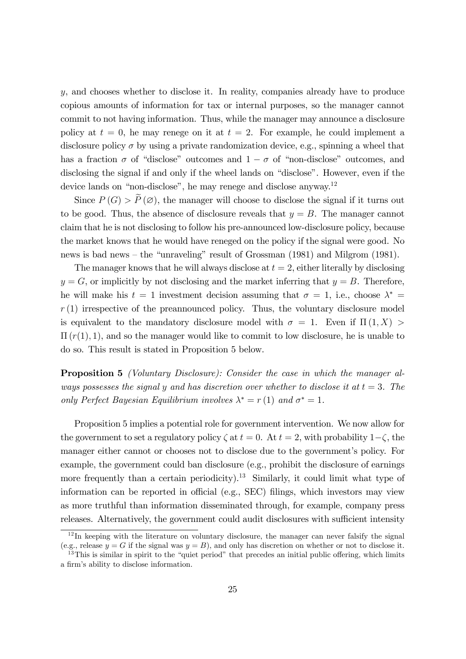y, and chooses whether to disclose it. In reality, companies already have to produce copious amounts of information for tax or internal purposes, so the manager cannot commit to not having information. Thus, while the manager may announce a disclosure policy at  $t = 0$ , he may renege on it at  $t = 2$ . For example, he could implement a disclosure policy  $\sigma$  by using a private randomization device, e.g., spinning a wheel that has a fraction  $\sigma$  of "disclose" outcomes and  $1 - \sigma$  of "non-disclose" outcomes, and disclosing the signal if and only if the wheel lands on "disclose". However, even if the device lands on "non-disclose", he may renege and disclose anyway.<sup>12</sup>

Since  $P(G) > \widetilde{P}(\emptyset)$ , the manager will choose to disclose the signal if it turns out to be good. Thus, the absence of disclosure reveals that  $y = B$ . The manager cannot claim that he is not disclosing to follow his pre-announced low-disclosure policy, because the market knows that he would have reneged on the policy if the signal were good. No news is bad news – the "unraveling" result of Grossman  $(1981)$  and Milgrom  $(1981)$ .

The manager knows that he will always disclose at  $t = 2$ , either literally by disclosing  $y = G$ , or implicitly by not disclosing and the market inferring that  $y = B$ . Therefore, he will make his  $t = 1$  investment decision assuming that  $\sigma = 1$ , i.e., choose  $\lambda^* =$  $r(1)$  irrespective of the preannounced policy. Thus, the voluntary disclosure model is equivalent to the mandatory disclosure model with  $\sigma = 1$ . Even if  $\Pi(1, X)$  $\Pi(r(1), 1)$ , and so the manager would like to commit to low disclosure, he is unable to do so. This result is stated in Proposition 5 below.

**Proposition 5** (Voluntary Disclosure): Consider the case in which the manager always possesses the signal y and has discretion over whether to disclose it at  $t = 3$ . The only Perfect Bayesian Equilibrium involves  $\lambda^* = r(1)$  and  $\sigma^* = 1$ .

Proposition 5 implies a potential role for government intervention. We now allow for the government to set a regulatory policy  $\zeta$  at  $t = 0$ . At  $t = 2$ , with probability  $1-\zeta$ , the manager either cannot or chooses not to disclose due to the government's policy. For example, the government could ban disclosure (e.g., prohibit the disclosure of earnings more frequently than a certain periodicity).<sup>13</sup> Similarly, it could limit what type of information can be reported in official (e.g., SEC) filings, which investors may view as more truthful than information disseminated through, for example, company press releases. Alternatively, the government could audit disclosures with sufficient intensity

 $12$ In keeping with the literature on voluntary disclosure, the manager can never falsify the signal (e.g., release  $y = G$  if the signal was  $y = B$ ), and only has discretion on whether or not to disclose it.

<sup>&</sup>lt;sup>13</sup>This is similar in spirit to the "quiet period" that precedes an initial public offering, which limits a firm's ability to disclose information.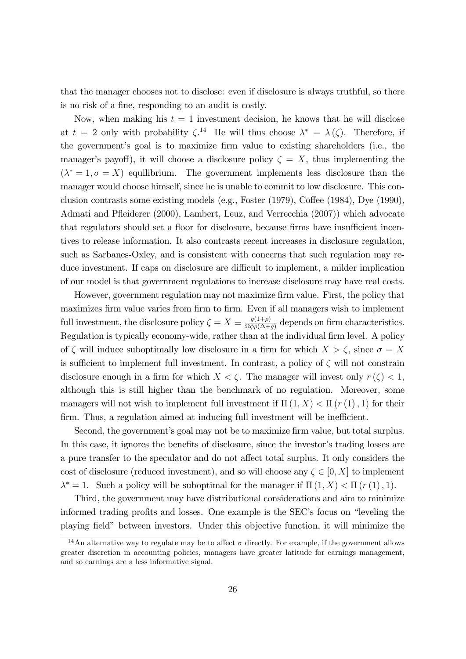that the manager chooses not to disclose: even if disclosure is always truthful, so there is no risk of a fine, responding to an audit is costly.

Now, when making his  $t = 1$  investment decision, he knows that he will disclose at  $t = 2$  only with probability  $\zeta^{14}$ . He will thus choose  $\lambda^* = \lambda(\zeta)$ . Therefore, if the government's goal is to maximize firm value to existing shareholders (i.e., the manager's payoff), it will choose a disclosure policy  $\zeta = X$ , thus implementing the  $(\lambda^* = 1, \sigma = X)$  equilibrium. The government implements less disclosure than the manager would choose himself, since he is unable to commit to low disclosure. This conclusion contrasts some existing models (e.g., Foster  $(1979)$ , Coffee  $(1984)$ , Dye  $(1990)$ , Admati and Pfleiderer (2000), Lambert, Leuz, and Verrecchia (2007)) which advocate that regulators should set a floor for disclosure, because firms have insufficient incentives to release information. It also contrasts recent increases in disclosure regulation, such as Sarbanes-Oxley, and is consistent with concerns that such regulation may reduce investment. If caps on disclosure are difficult to implement, a milder implication of our model is that government regulations to increase disclosure may have real costs.

However, government regulation may not maximize Örm value. First, the policy that maximizes firm value varies from firm to firm. Even if all managers wish to implement full investment, the disclosure policy  $\zeta = X \equiv \frac{g(1+\rho)}{\Omega \phi \rho(\Delta + \rho)}$  $\frac{g(1+\rho)}{\Omega \phi \rho(\Delta+g)}$  depends on firm characteristics. Regulation is typically economy-wide, rather than at the individual firm level. A policy of  $\zeta$  will induce suboptimally low disclosure in a firm for which  $X > \zeta$ , since  $\sigma = X$ is sufficient to implement full investment. In contrast, a policy of  $\zeta$  will not constrain disclosure enough in a firm for which  $X < \zeta$ . The manager will invest only  $r(\zeta) < 1$ , although this is still higher than the benchmark of no regulation. Moreover, some managers will not wish to implement full investment if  $\Pi(1, X) < \Pi(r(1), 1)$  for their firm. Thus, a regulation aimed at inducing full investment will be inefficient.

Second, the government's goal may not be to maximize firm value, but total surplus. In this case, it ignores the benefits of disclosure, since the investor's trading losses are a pure transfer to the speculator and do not affect total surplus. It only considers the cost of disclosure (reduced investment), and so will choose any  $\zeta \in [0, X]$  to implement  $\lambda^* = 1$ . Such a policy will be suboptimal for the manager if  $\Pi(1, X) < \Pi(r(1), 1)$ .

Third, the government may have distributional considerations and aim to minimize informed trading profits and losses. One example is the SEC's focus on "leveling the playing field" between investors. Under this objective function, it will minimize the

<sup>&</sup>lt;sup>14</sup>An alternative way to regulate may be to affect  $\sigma$  directly. For example, if the government allows greater discretion in accounting policies, managers have greater latitude for earnings management, and so earnings are a less informative signal.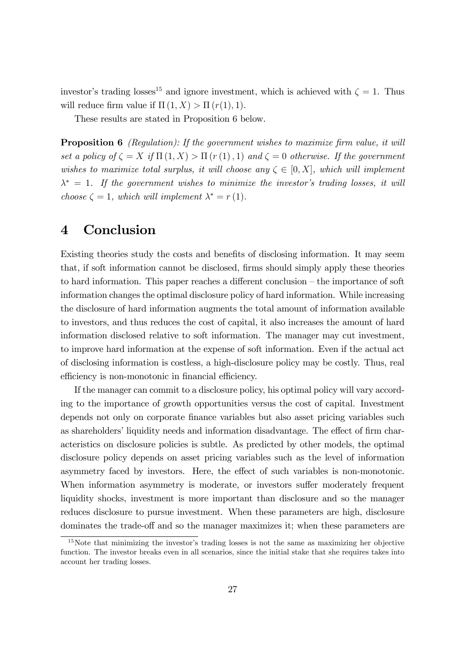investor's trading losses<sup>15</sup> and ignore investment, which is achieved with  $\zeta = 1$ . Thus will reduce firm value if  $\Pi(1, X) > \Pi(r(1), 1)$ .

These results are stated in Proposition 6 below.

**Proposition 6** (Regulation): If the government wishes to maximize firm value, it will set a policy of  $\zeta = X$  if  $\Pi(1, X) > \Pi(r(1), 1)$  and  $\zeta = 0$  otherwise. If the government wishes to maximize total surplus, it will choose any  $\zeta \in [0, X]$ , which will implement  $\lambda^* = 1$ . If the government wishes to minimize the investor's trading losses, it will choose  $\zeta = 1$ , which will implement  $\lambda^* = r(1)$ .

## 4 Conclusion

Existing theories study the costs and benefits of disclosing information. It may seem that, if soft information cannot be disclosed, firms should simply apply these theories to hard information. This paper reaches a different conclusion  $-$  the importance of soft information changes the optimal disclosure policy of hard information. While increasing the disclosure of hard information augments the total amount of information available to investors, and thus reduces the cost of capital, it also increases the amount of hard information disclosed relative to soft information. The manager may cut investment, to improve hard information at the expense of soft information. Even if the actual act of disclosing information is costless, a high-disclosure policy may be costly. Thus, real efficiency is non-monotonic in financial efficiency.

If the manager can commit to a disclosure policy, his optimal policy will vary according to the importance of growth opportunities versus the cost of capital. Investment depends not only on corporate Önance variables but also asset pricing variables such as shareholders' liquidity needs and information disadvantage. The effect of firm characteristics on disclosure policies is subtle. As predicted by other models, the optimal disclosure policy depends on asset pricing variables such as the level of information asymmetry faced by investors. Here, the effect of such variables is non-monotonic. When information asymmetry is moderate, or investors suffer moderately frequent liquidity shocks, investment is more important than disclosure and so the manager reduces disclosure to pursue investment. When these parameters are high, disclosure dominates the trade-off and so the manager maximizes it; when these parameters are

 $15$ Note that minimizing the investor's trading losses is not the same as maximizing her objective function. The investor breaks even in all scenarios, since the initial stake that she requires takes into account her trading losses.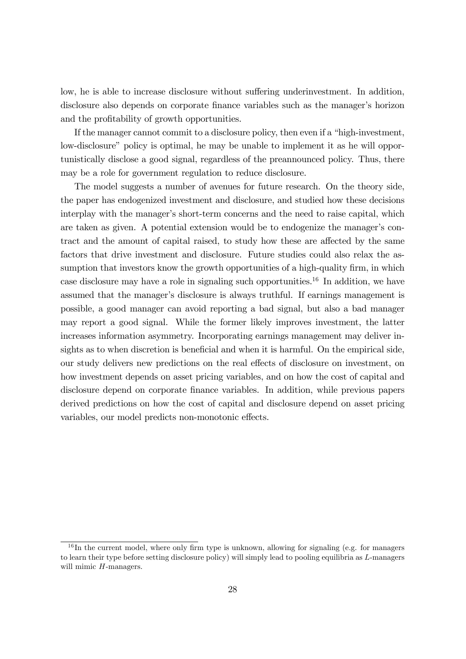low, he is able to increase disclosure without suffering underinvestment. In addition, disclosure also depends on corporate finance variables such as the manager's horizon and the profitability of growth opportunities.

If the manager cannot commit to a disclosure policy, then even if a "high-investment, low-disclosure" policy is optimal, he may be unable to implement it as he will opportunistically disclose a good signal, regardless of the preannounced policy. Thus, there may be a role for government regulation to reduce disclosure.

The model suggests a number of avenues for future research. On the theory side, the paper has endogenized investment and disclosure, and studied how these decisions interplay with the manager's short-term concerns and the need to raise capital, which are taken as given. A potential extension would be to endogenize the manager's contract and the amount of capital raised, to study how these are affected by the same factors that drive investment and disclosure. Future studies could also relax the assumption that investors know the growth opportunities of a high-quality firm, in which case disclosure may have a role in signaling such opportunities.<sup>16</sup> In addition, we have assumed that the manager's disclosure is always truthful. If earnings management is possible, a good manager can avoid reporting a bad signal, but also a bad manager may report a good signal. While the former likely improves investment, the latter increases information asymmetry. Incorporating earnings management may deliver insights as to when discretion is beneficial and when it is harmful. On the empirical side, our study delivers new predictions on the real effects of disclosure on investment, on how investment depends on asset pricing variables, and on how the cost of capital and disclosure depend on corporate finance variables. In addition, while previous papers derived predictions on how the cost of capital and disclosure depend on asset pricing variables, our model predicts non-monotonic effects.

 $16$ In the current model, where only firm type is unknown, allowing for signaling (e.g. for managers to learn their type before setting disclosure policy) will simply lead to pooling equilibria as L-managers will mimic H-managers.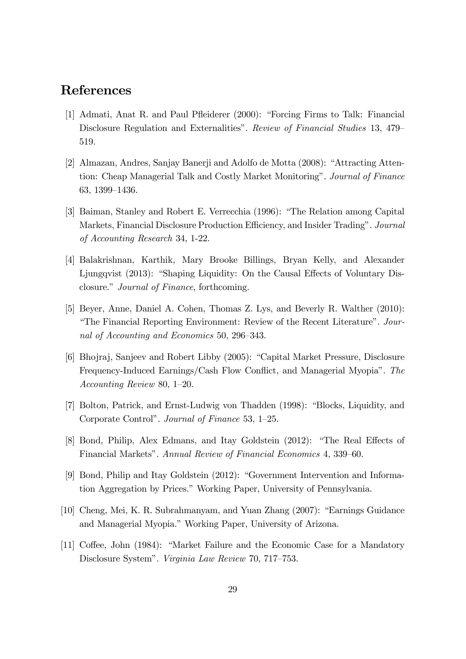### References

- [1] Admati, Anat R. and Paul Pfleiderer (2000): "Forcing Firms to Talk: Financial Disclosure Regulation and Externalities". Review of Financial Studies 13, 479 519.
- [2] Almazan, Andres, Sanjay Banerji and Adolfo de Motta (2008): "Attracting Attention: Cheap Managerial Talk and Costly Market Monitoring". Journal of Finance 63, 1399–1436.
- [3] Baiman, Stanley and Robert E. Verrecchia (1996): "The Relation among Capital Markets, Financial Disclosure Production Efficiency, and Insider Trading". Journal of Accounting Research 34, 1-22.
- [4] Balakrishnan, Karthik, Mary Brooke Billings, Bryan Kelly, and Alexander Ljungqvist  $(2013)$ : "Shaping Liquidity: On the Causal Effects of Voluntary Disclosure." Journal of Finance, forthcoming.
- [5] Beyer, Anne, Daniel A. Cohen, Thomas Z. Lys, and Beverly R. Walther (2010): *i*The Financial Reporting Environment: Review of the Recent Literature". Journal of Accounting and Economics 50, 296–343.
- [6] Bhojraj, Sanjeev and Robert Libby (2005): "Capital Market Pressure, Disclosure Frequency-Induced Earnings/Cash Flow Conflict, and Managerial Myopia". The Accounting Review 80, 1–20.
- [7] Bolton, Patrick, and Ernst-Ludwig von Thadden (1998): "Blocks, Liquidity, and Corporate Control". Journal of Finance 53, 1–25.
- [8] Bond, Philip, Alex Edmans, and Itay Goldstein (2012): "The Real Effects of Financial Markets". Annual Review of Financial Economics 4, 339–60.
- [9] Bond, Philip and Itay Goldstein (2012): "Government Intervention and Information Aggregation by Prices." Working Paper, University of Pennsylvania.
- [10] Cheng, Mei, K. R. Subrahmanyam, and Yuan Zhang (2007): "Earnings Guidance and Managerial Myopia." Working Paper, University of Arizona.
- [11] Coffee, John (1984): "Market Failure and the Economic Case for a Mandatory Disclosure System". *Virginia Law Review* 70, 717–753.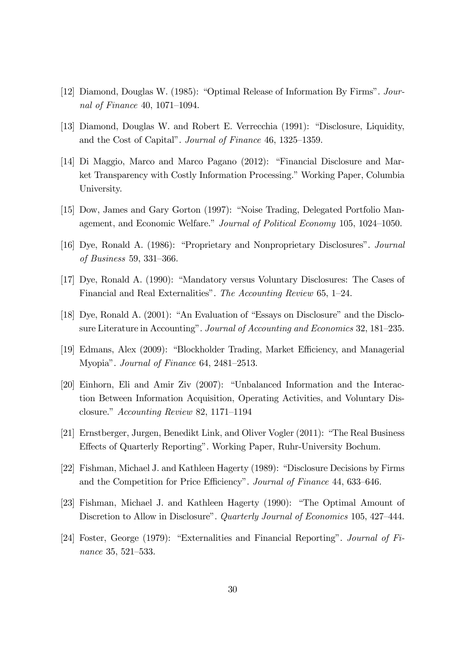- [12] Diamond, Douglas W. (1985): "Optimal Release of Information By Firms". Journal of Finance 40,  $1071-1094$ .
- [13] Diamond, Douglas W. and Robert E. Verrecchia (1991): "Disclosure, Liquidity, and the Cost of Capital". Journal of Finance 46, 1325-1359.
- $[14]$  Di Maggio, Marco and Marco Pagano  $(2012)$ : "Financial Disclosure and Market Transparency with Costly Information Processing." Working Paper, Columbia University.
- [15] Dow, James and Gary Gorton (1997): "Noise Trading, Delegated Portfolio Management, and Economic Welfare." Journal of Political Economy 105, 1024–1050.
- [16] Dye, Ronald A. (1986): "Proprietary and Nonproprietary Disclosures". Journal of Business 59, 331–366.
- [17] Dye, Ronald A. (1990): "Mandatory versus Voluntary Disclosures: The Cases of Financial and Real Externalities". The Accounting Review 65, 1-24.
- [18] Dye, Ronald A. (2001): "An Evaluation of "Essays on Disclosure" and the Disclosure Literature in Accounting". Journal of Accounting and Economics 32, 181–235.
- [19] Edmans, Alex (2009): "Blockholder Trading, Market Efficiency, and Managerial Myopia". Journal of Finance 64, 2481-2513.
- [20] Einhorn, Eli and Amir Ziv  $(2007)$ : "Unbalanced Information and the Interaction Between Information Acquisition, Operating Activities, and Voluntary Disclosure."  $Accounting Review 82, 1171–1194$
- [21] Ernstberger, Jurgen, Benedikt Link, and Oliver Vogler (2011): "The Real Business Effects of Quarterly Reporting". Working Paper, Ruhr-University Bochum.
- [22] Fishman, Michael J. and Kathleen Hagerty (1989): "Disclosure Decisions by Firms and the Competition for Price Efficiency". Journal of Finance 44, 633–646.
- [23] Fishman, Michael J. and Kathleen Hagerty (1990): "The Optimal Amount of Discretion to Allow in Disclosure". Quarterly Journal of Economics 105, 427–444.
- [24] Foster, George (1979): "Externalities and Financial Reporting". Journal of Finance 35, 521–533.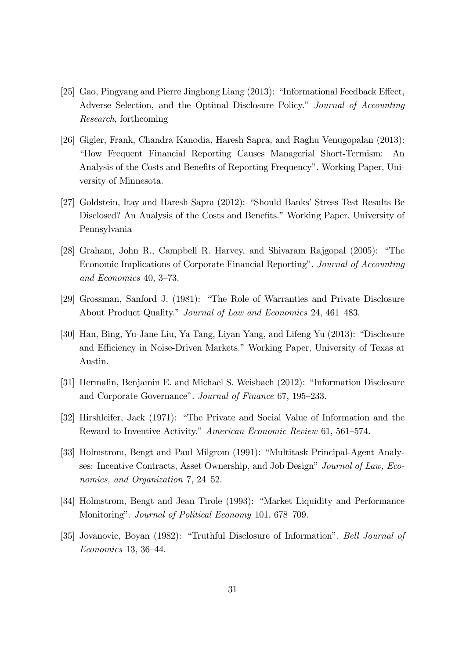- [25] Gao, Pingyang and Pierre Jinghong Liang  $(2013)$ : "Informational Feedback Effect, Adverse Selection, and the Optimal Disclosure Policy." Journal of Accounting Research, forthcoming
- [26] Gigler, Frank, Chandra Kanodia, Haresh Sapra, and Raghu Venugopalan (2013): ìHow Frequent Financial Reporting Causes Managerial Short-Termism: An Analysis of the Costs and Benefits of Reporting Frequency". Working Paper, University of Minnesota.
- [27] Goldstein, Itay and Haresh Sapra (2012): "Should Banks' Stress Test Results Be Disclosed? An Analysis of the Costs and Benefits." Working Paper, University of Pennsylvania
- [28] Graham, John R., Campbell R. Harvey, and Shivaram Rajgopal  $(2005)$ : "The Economic Implications of Corporate Financial Reportingî. Journal of Accounting and Economics  $40, 3-73$ .
- [29] Grossman, Sanford J. (1981): "The Role of Warranties and Private Disclosure About Product Quality." Journal of Law and Economics 24, 461-483.
- [30] Han, Bing, Yu-Jane Liu, Ya Tang, Liyan Yang, and Lifeng Yu (2013): "Disclosure and Efficiency in Noise-Driven Markets." Working Paper, University of Texas at Austin.
- [31] Hermalin, Benjamin E. and Michael S. Weisbach (2012): "Information Disclosure and Corporate Governance". Journal of Finance 67, 195–233.
- [32] Hirshleifer, Jack (1971): "The Private and Social Value of Information and the Reward to Inventive Activity." American Economic Review 61, 561–574.
- [33] Holmstrom, Bengt and Paul Milgrom (1991): "Multitask Principal-Agent Analyses: Incentive Contracts, Asset Ownership, and Job Design" Journal of Law, Economics, and Organization 7, 24–52.
- [34] Holmstrom, Bengt and Jean Tirole (1993): "Market Liquidity and Performance Monitoring". Journal of Political Economy 101, 678–709.
- [35] Jovanovic, Boyan (1982): "Truthful Disclosure of Information". Bell Journal of  $Economics$  13, 36–44.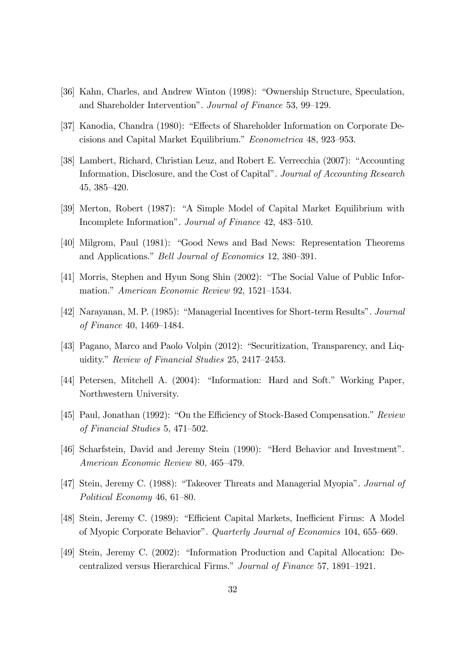- [36] Kahn, Charles, and Andrew Winton (1998): "Ownership Structure, Speculation, and Shareholder Intervention". Journal of Finance 53, 99–129.
- [37] Kanodia, Chandra (1980): "Effects of Shareholder Information on Corporate Decisions and Capital Market Equilibrium." Econometrica 48, 923-953.
- [38] Lambert, Richard, Christian Leuz, and Robert E. Verrecchia (2007): "Accounting Information, Disclosure, and the Cost of Capital". Journal of Accounting Research  $45, 385 - 420.$
- [39] Merton, Robert (1987): "A Simple Model of Capital Market Equilibrium with Incomplete Information". Journal of Finance 42, 483–510.
- [40] Milgrom, Paul (1981): "Good News and Bad News: Representation Theorems and Applications." Bell Journal of Economics 12, 380–391.
- [41] Morris, Stephen and Hyun Song Shin (2002): "The Social Value of Public Information." American Economic Review 92, 1521–1534.
- [42] Narayanan, M. P. (1985): "Managerial Incentives for Short-term Results". Journal of Finance  $40, 1469 - 1484$ .
- [43] Pagano, Marco and Paolo Volpin (2012): "Securitization, Transparency, and Liquidity." Review of Financial Studies 25, 2417–2453.
- [44] Petersen, Mitchell A. (2004): "Information: Hard and Soft." Working Paper, Northwestern University.
- [45] Paul, Jonathan (1992): "On the Efficiency of Stock-Based Compensation." Review of Financial Studies 5, 471–502.
- [46] Scharfstein, David and Jeremy Stein (1990): "Herd Behavior and Investment". American Economic Review 80, 465-479.
- [47] Stein, Jeremy C. (1988): "Takeover Threats and Managerial Myopia". Journal of Political Economy 46,  $61-80$ .
- [48] Stein, Jeremy C. (1989): "Efficient Capital Markets, Inefficient Firms: A Model of Myopic Corporate Behavior". Quarterly Journal of Economics 104, 655–669.
- [49] Stein, Jeremy C. (2002): "Information Production and Capital Allocation: Decentralized versus Hierarchical Firms." Journal of Finance 57, 1891–1921.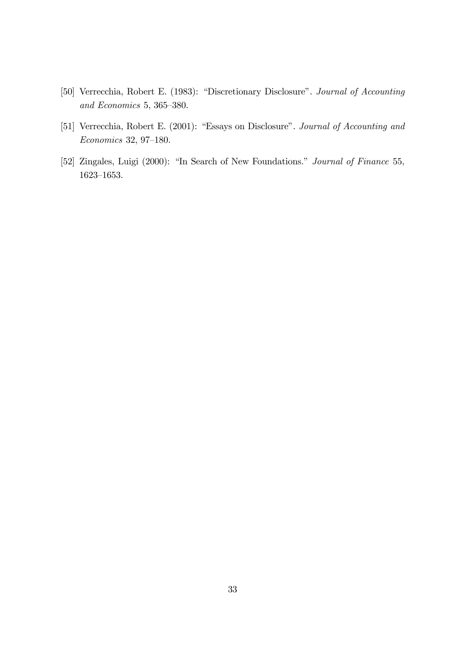- [50] Verrecchia, Robert E. (1983): "Discretionary Disclosure". Journal of Accounting and Economics 5, 365–380.
- [51] Verrecchia, Robert E. (2001): "Essays on Disclosure". Journal of Accounting and Economics 32, 97-180.
- [52] Zingales, Luigi (2000): "In Search of New Foundations." Journal of Finance 55,  $1623 - 1653.$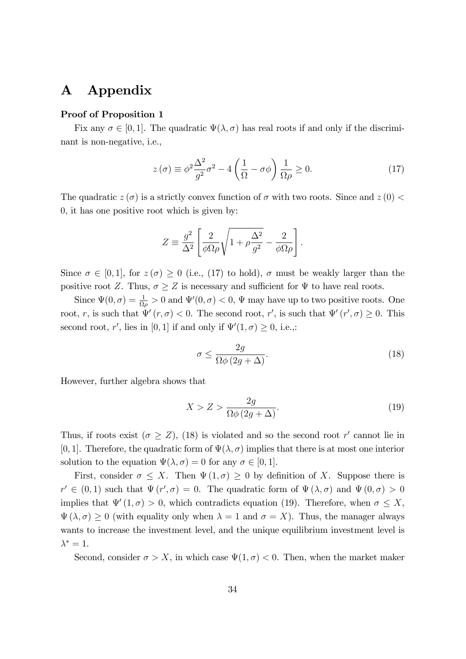### A Appendix

### Proof of Proposition 1

Fix any  $\sigma \in [0, 1]$ . The quadratic  $\Psi(\lambda, \sigma)$  has real roots if and only if the discriminant is non-negative, i.e.,

$$
z(\sigma) \equiv \phi^2 \frac{\Delta^2}{g^2} \sigma^2 - 4 \left( \frac{1}{\Omega} - \sigma \phi \right) \frac{1}{\Omega \rho} \ge 0.
$$
 (17)

The quadratic  $z(\sigma)$  is a strictly convex function of  $\sigma$  with two roots. Since and  $z(0)$ 0, it has one positive root which is given by:

$$
Z \equiv \frac{g^2}{\Delta^2} \left[ \frac{2}{\phi \Omega \rho} \sqrt{1 + \rho \frac{\Delta^2}{g^2}} - \frac{2}{\phi \Omega \rho} \right].
$$

Since  $\sigma \in [0, 1]$ , for  $z(\sigma) \geq 0$  (i.e., (17) to hold),  $\sigma$  must be weakly larger than the positive root Z. Thus,  $\sigma \geq Z$  is necessary and sufficient for  $\Psi$  to have real roots.

Since  $\Psi(0, \sigma) = \frac{1}{\Omega \rho} > 0$  and  $\Psi'(0, \sigma) < 0$ ,  $\Psi$  may have up to two positive roots. One root, r, is such that  $\Psi'(r, \sigma) < 0$ . The second root, r', is such that  $\Psi'(r', \sigma) \geq 0$ . This second root, r', lies in [0, 1] if and only if  $\Psi'(1, \sigma) \ge 0$ , i.e.,:

$$
\sigma \le \frac{2g}{\Omega \phi \left(2g + \Delta\right)}.\tag{18}
$$

However, further algebra shows that

$$
X > Z > \frac{2g}{\Omega \phi \left(2g + \Delta\right)}.\tag{19}
$$

Thus, if roots exist  $(\sigma \geq Z)$ , (18) is violated and so the second root r' cannot lie in [0, 1]. Therefore, the quadratic form of  $\Psi(\lambda, \sigma)$  implies that there is at most one interior solution to the equation  $\Psi(\lambda, \sigma) = 0$  for any  $\sigma \in [0, 1]$ .

First, consider  $\sigma \leq X$ . Then  $\Psi(1, \sigma) \geq 0$  by definition of X. Suppose there is  $r' \in (0,1)$  such that  $\Psi(r', \sigma) = 0$ . The quadratic form of  $\Psi(\lambda, \sigma)$  and  $\Psi(0, \sigma) > 0$ implies that  $\Psi'(1, \sigma) > 0$ , which contradicts equation (19). Therefore, when  $\sigma \leq X$ ,  $\Psi(\lambda, \sigma) \geq 0$  (with equality only when  $\lambda = 1$  and  $\sigma = X$ ). Thus, the manager always wants to increase the investment level, and the unique equilibrium investment level is  $\lambda^* = 1.$ 

Second, consider  $\sigma > X$ , in which case  $\Psi(1, \sigma) < 0$ . Then, when the market maker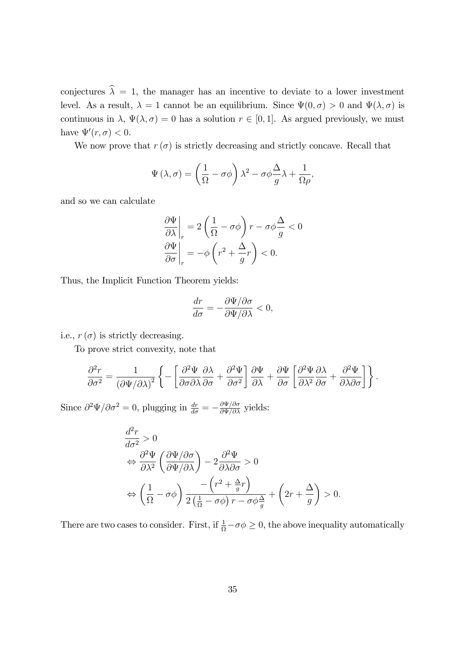conjectures  $\hat{\lambda} = 1$ , the manager has an incentive to deviate to a lower investment level. As a result,  $\lambda = 1$  cannot be an equilibrium. Since  $\Psi(0, \sigma) > 0$  and  $\Psi(\lambda, \sigma)$  is continuous in  $\lambda$ ,  $\Psi(\lambda, \sigma) = 0$  has a solution  $r \in [0, 1]$ . As argued previously, we must have  $\Psi'(r, \sigma) < 0$ .

We now prove that  $r(\sigma)$  is strictly decreasing and strictly concave. Recall that

$$
\Psi(\lambda,\sigma) = \left(\frac{1}{\Omega} - \sigma\phi\right)\lambda^2 - \sigma\phi\frac{\Delta}{g}\lambda + \frac{1}{\Omega\rho},
$$

and so we can calculate

$$
\left. \frac{\partial \Psi}{\partial \lambda} \right|_{r} = 2 \left( \frac{1}{\Omega} - \sigma \phi \right) r - \sigma \phi \frac{\Delta}{g} < 0
$$
\n
$$
\left. \frac{\partial \Psi}{\partial \sigma} \right|_{r} = -\phi \left( r^2 + \frac{\Delta}{g} r \right) < 0.
$$

Thus, the Implicit Function Theorem yields:

$$
\frac{dr}{d\sigma} = -\frac{\partial \Psi/\partial \sigma}{\partial \Psi/\partial \lambda} < 0,
$$

i.e.,  $r(\sigma)$  is strictly decreasing.

To prove strict convexity, note that

$$
\frac{\partial^2 r}{\partial \sigma^2} = \frac{1}{(\partial \Psi/\partial \lambda)^2} \left\{ - \left[ \frac{\partial^2 \Psi}{\partial \sigma \partial \lambda} \frac{\partial \lambda}{\partial \sigma} + \frac{\partial^2 \Psi}{\partial \sigma^2} \right] \frac{\partial \Psi}{\partial \lambda} + \frac{\partial \Psi}{\partial \sigma} \left[ \frac{\partial^2 \Psi}{\partial \lambda^2} \frac{\partial \lambda}{\partial \sigma} + \frac{\partial^2 \Psi}{\partial \lambda \partial \sigma} \right] \right\}.
$$

Since  $\partial^2 \Psi / \partial \sigma^2 = 0$ , plugging in  $\frac{dr}{d\sigma} = -\frac{\partial \Psi / \partial \sigma}{\partial \Psi / \partial \lambda}$  yields:

$$
\frac{d^2r}{d\sigma^2} > 0
$$
\n
$$
\Leftrightarrow \frac{\partial^2 \Psi}{\partial \lambda^2} \left( \frac{\partial \Psi / \partial \sigma}{\partial \Psi / \partial \lambda} \right) - 2 \frac{\partial^2 \Psi}{\partial \lambda \partial \sigma} > 0
$$
\n
$$
\Leftrightarrow \left( \frac{1}{\Omega} - \sigma \phi \right) \frac{-\left( r^2 + \frac{\Delta}{g} r \right)}{2 \left( \frac{1}{\Omega} - \sigma \phi \right) r - \sigma \phi \frac{\Delta}{g}} + \left( 2r + \frac{\Delta}{g} \right) > 0.
$$

There are two cases to consider. First, if  $\frac{1}{\Omega} - \sigma \phi \geq 0$ , the above inequality automatically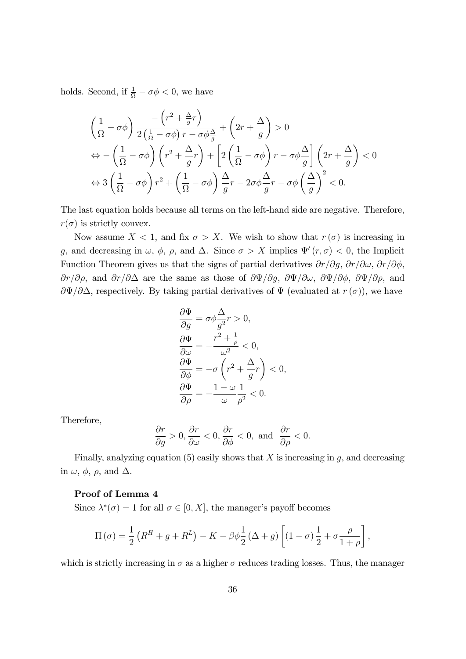holds. Second, if  $\frac{1}{\Omega} - \sigma \phi < 0$ , we have

$$
\left(\frac{1}{\Omega} - \sigma\phi\right) \frac{-\left(r^2 + \frac{\Delta}{g}r\right)}{2\left(\frac{1}{\Omega} - \sigma\phi\right)r - \sigma\phi\frac{\Delta}{g}} + \left(2r + \frac{\Delta}{g}\right) > 0
$$
\n
$$
\Leftrightarrow -\left(\frac{1}{\Omega} - \sigma\phi\right)\left(r^2 + \frac{\Delta}{g}r\right) + \left[2\left(\frac{1}{\Omega} - \sigma\phi\right)r - \sigma\phi\frac{\Delta}{g}\right]\left(2r + \frac{\Delta}{g}\right) < 0
$$
\n
$$
\Leftrightarrow 3\left(\frac{1}{\Omega} - \sigma\phi\right)r^2 + \left(\frac{1}{\Omega} - \sigma\phi\right)\frac{\Delta}{g}r - 2\sigma\phi\frac{\Delta}{g}r - \sigma\phi\left(\frac{\Delta}{g}\right)^2 < 0.
$$

The last equation holds because all terms on the left-hand side are negative. Therefore,  $r(\sigma)$  is strictly convex.

Now assume  $X < 1$ , and fix  $\sigma > X$ . We wish to show that  $r(\sigma)$  is increasing in g, and decreasing in  $\omega, \phi, \rho$ , and  $\Delta$ . Since  $\sigma > X$  implies  $\Psi'(r, \sigma) < 0$ , the Implicit Function Theorem gives us that the signs of partial derivatives  $\partial r/\partial g$ ,  $\partial r/\partial \omega$ ,  $\partial r/\partial \phi$ ,  $\partial r/\partial \rho$ , and  $\partial r/\partial \Delta$  are the same as those of  $\partial \Psi/\partial g$ ,  $\partial \Psi/\partial \omega$ ,  $\partial \Psi/\partial \phi$ ,  $\partial \Psi/\partial \rho$ , and  $\partial\Psi/\partial\Delta$ , respectively. By taking partial derivatives of  $\Psi$  (evaluated at  $r(\sigma)$ ), we have

$$
\frac{\partial \Psi}{\partial g} = \sigma \phi \frac{\Delta}{g^2} r > 0,
$$
  
\n
$$
\frac{\partial \Psi}{\partial \omega} = -\frac{r^2 + \frac{1}{\rho}}{\omega^2} < 0,
$$
  
\n
$$
\frac{\partial \Psi}{\partial \phi} = -\sigma \left( r^2 + \frac{\Delta}{g} r \right) < 0,
$$
  
\n
$$
\frac{\partial \Psi}{\partial \rho} = -\frac{1 - \omega}{\omega} \frac{1}{\rho^2} < 0.
$$

Therefore,

$$
\frac{\partial r}{\partial g} > 0, \frac{\partial r}{\partial \omega} < 0, \frac{\partial r}{\partial \phi} < 0
$$
, and  $\frac{\partial r}{\partial \rho} < 0$ .

Finally, analyzing equation (5) easily shows that X is increasing in  $q$ , and decreasing in  $\omega, \phi, \rho$ , and  $\Delta$ .

### Proof of Lemma 4

Since  $\lambda^*(\sigma) = 1$  for all  $\sigma \in [0, X]$ , the manager's payoff becomes

$$
\Pi(\sigma) = \frac{1}{2} \left( R^{H} + g + R^{L} \right) - K - \beta \phi \frac{1}{2} \left( \Delta + g \right) \left[ (1 - \sigma) \frac{1}{2} + \sigma \frac{\rho}{1 + \rho} \right],
$$

which is strictly increasing in  $\sigma$  as a higher  $\sigma$  reduces trading losses. Thus, the manager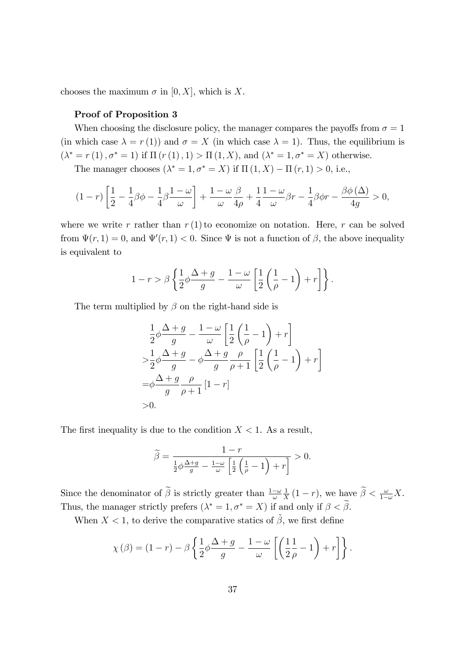chooses the maximum  $\sigma$  in [0, X], which is X.

### Proof of Proposition 3

When choosing the disclosure policy, the manager compares the payoffs from  $\sigma = 1$ (in which case  $\lambda = r(1)$ ) and  $\sigma = X$  (in which case  $\lambda = 1$ ). Thus, the equilibrium is  $(\lambda^* = r(1), \sigma^* = 1)$  if  $\Pi(r(1), 1) > \Pi(1, X)$ , and  $(\lambda^* = 1, \sigma^* = X)$  otherwise.

The manager chooses  $(\lambda^* = 1, \sigma^* = X)$  if  $\Pi(1, X) - \Pi(r, 1) > 0$ , i.e.,

$$
(1-r)\left[\frac{1}{2}-\frac{1}{4}\beta\phi-\frac{1}{4}\beta\frac{1-\omega}{\omega}\right]+\frac{1-\omega}{\omega}\frac{\beta}{4\rho}+\frac{1}{4}\frac{1-\omega}{\omega}\beta r-\frac{1}{4}\beta\phi r-\frac{\beta\phi\left(\Delta\right)}{4g}>0,
$$

where we write r rather than  $r(1)$  to economize on notation. Here, r can be solved from  $\Psi(r, 1) = 0$ , and  $\Psi'(r, 1) < 0$ . Since  $\Psi$  is not a function of  $\beta$ , the above inequality is equivalent to

$$
1-r > \beta \left\{ \frac{1}{2} \phi \frac{\Delta + g}{g} - \frac{1-\omega}{\omega} \left[ \frac{1}{2} \left( \frac{1}{\rho} - 1 \right) + r \right] \right\}.
$$

The term multiplied by  $\beta$  on the right-hand side is

$$
\frac{1}{2}\phi \frac{\Delta+g}{g} - \frac{1-\omega}{\omega} \left[ \frac{1}{2} \left( \frac{1}{\rho} - 1 \right) + r \right]
$$
  
\n
$$
> \frac{1}{2}\phi \frac{\Delta+g}{g} - \phi \frac{\Delta+g}{g} \frac{\rho}{\rho+1} \left[ \frac{1}{2} \left( \frac{1}{\rho} - 1 \right) + r \right]
$$
  
\n
$$
= \phi \frac{\Delta+g}{g} \frac{\rho}{\rho+1} [1-r]
$$
  
\n
$$
> 0.
$$

The first inequality is due to the condition  $X < 1$ . As a result,

$$
\widetilde{\beta} = \frac{1-r}{\frac{1}{2}\phi \frac{\Delta+g}{g} - \frac{1-\omega}{\omega} \left[\frac{1}{2}\left(\frac{1}{\rho} - 1\right) + r\right]} > 0.
$$

Since the denominator of  $\tilde{\beta}$  is strictly greater than  $\frac{1-\omega}{\omega}$ 1  $\frac{1}{X}(1-r)$ , we have  $\widehat{\beta} < \frac{\omega}{1-\omega}X$ . Thus, the manager strictly prefers  $(\lambda^* = 1, \sigma^* = X)$  if and only if  $\beta < \beta$ .

When  $X < 1$ , to derive the comparative statics of  $\tilde{\beta}$ , we first define

$$
\chi(\beta) = (1-r) - \beta \left\{ \frac{1}{2} \phi \frac{\Delta + g}{g} - \frac{1-\omega}{\omega} \left[ \left( \frac{1}{2} \frac{1}{\rho} - 1 \right) + r \right] \right\}.
$$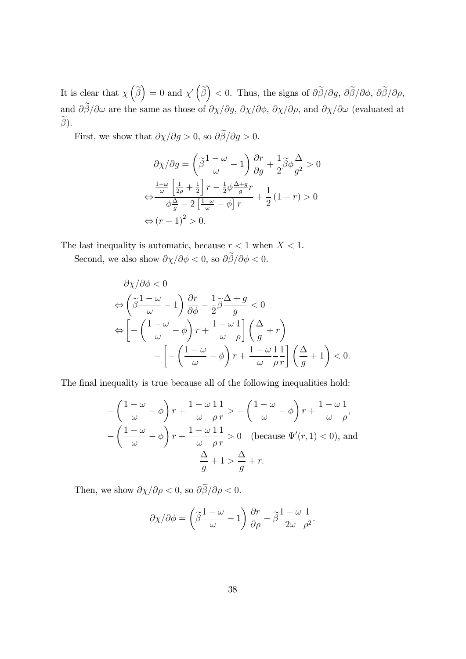It is clear that  $\chi\left(\widetilde{\beta}\right) = 0$  and  $\chi'\left(\widetilde{\beta}\right) < 0$ . Thus, the signs of  $\partial\widetilde{\beta}/\partial g$ ,  $\partial\widetilde{\beta}/\partial\phi$ ,  $\partial\widetilde{\beta}/\partial\rho$ , and  $\partial \beta / \partial \omega$  are the same as those of  $\partial \chi / \partial g$ ,  $\partial \chi / \partial \phi$ ,  $\partial \chi / \partial \rho$ , and  $\partial \chi / \partial \omega$  (evaluated at  $\widetilde{\beta}$ ).

First, we show that  $\partial \chi / \partial g > 0$ , so  $\partial \widetilde{\beta} / \partial g > 0$ .

$$
\partial \chi / \partial g = \left( \tilde{\beta} \frac{1 - \omega}{\omega} - 1 \right) \frac{\partial r}{\partial g} + \frac{1}{2} \tilde{\beta} \phi \frac{\Delta}{g^2} > 0
$$

$$
\Leftrightarrow \frac{\frac{1 - \omega}{\omega} \left[ \frac{1}{2\rho} + \frac{1}{2} \right] r - \frac{1}{2} \phi \frac{\Delta + g}{g} r}{\phi \frac{\Delta}{g} - 2 \left[ \frac{1 - \omega}{\omega} - \phi \right] r} + \frac{1}{2} (1 - r) > 0
$$

$$
\Leftrightarrow (r - 1)^2 > 0.
$$

The last inequality is automatic, because  $r < 1$  when  $X < 1$ .

Second, we also show  $\partial \chi / \partial \phi <0,$  so  $\partial \widetilde{\beta} / \partial \phi <0.$ 

$$
\partial \chi / \partial \phi < 0
$$
\n
$$
\Leftrightarrow \left( \tilde{\beta} \frac{1 - \omega}{\omega} - 1 \right) \frac{\partial r}{\partial \phi} - \frac{1}{2} \tilde{\beta} \frac{\Delta + g}{g} < 0
$$
\n
$$
\Leftrightarrow \left[ - \left( \frac{1 - \omega}{\omega} - \phi \right) r + \frac{1 - \omega}{\omega} \frac{1}{\rho} \right] \left( \frac{\Delta}{g} + r \right)
$$
\n
$$
- \left[ - \left( \frac{1 - \omega}{\omega} - \phi \right) r + \frac{1 - \omega}{\omega} \frac{1}{\rho} \frac{1}{r} \right] \left( \frac{\Delta}{g} + 1 \right) < 0.
$$

The final inequality is true because all of the following inequalities hold:

$$
-\left(\frac{1-\omega}{\omega}-\phi\right)r + \frac{1-\omega}{\omega}\frac{1}{\rho}\frac{1}{r} > -\left(\frac{1-\omega}{\omega}-\phi\right)r + \frac{1-\omega}{\omega}\frac{1}{\rho},
$$

$$
-\left(\frac{1-\omega}{\omega}-\phi\right)r + \frac{1-\omega}{\omega}\frac{1}{\rho}\frac{1}{r} > 0 \quad \text{(because } \Psi'(r,1) < 0\text{), and}
$$

$$
\frac{\Delta}{g} + 1 > \frac{\Delta}{g} + r.
$$

Then, we show  $\partial \chi / \partial \rho < 0$ , so  $\partial \widetilde{\beta} / \partial \rho < 0$ .

$$
\partial \chi / \partial \phi = \left( \widetilde{\beta} \frac{1 - \omega}{\omega} - 1 \right) \frac{\partial r}{\partial \rho} - \widetilde{\beta} \frac{1 - \omega}{2\omega} \frac{1}{\rho^2}.
$$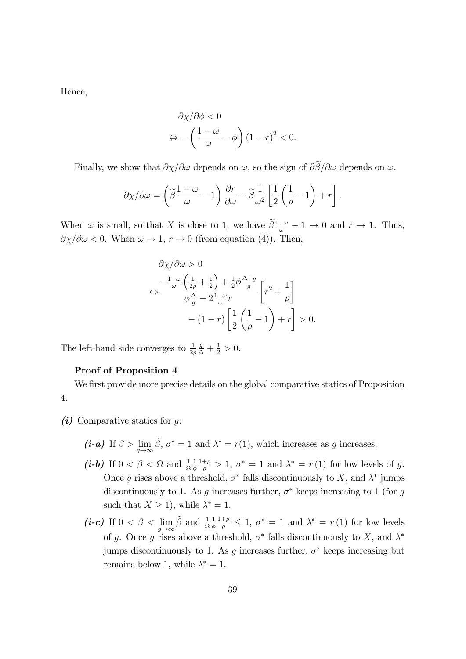Hence,

$$
\partial \chi / \partial \phi < 0
$$
\n
$$
\Leftrightarrow -\left(\frac{1-\omega}{\omega} - \phi\right) (1-r)^2 < 0.
$$

Finally, we show that  $\partial \chi / \partial \omega$  depends on  $\omega$ , so the sign of  $\partial \widetilde{\beta} / \partial \omega$  depends on  $\omega$ .

$$
\frac{\partial \chi}{\partial \omega} = \left( \widetilde{\beta} \frac{1-\omega}{\omega} - 1 \right) \frac{\partial r}{\partial \omega} - \widetilde{\beta} \frac{1}{\omega^2} \left[ \frac{1}{2} \left( \frac{1}{\rho} - 1 \right) + r \right].
$$

When  $\omega$  is small, so that X is close to 1, we have  $\beta \frac{1-\omega}{\omega} - 1 \to 0$  and  $r \to 1$ . Thus,  $\partial \chi / \partial \omega < 0$ . When  $\omega \to 1$ ,  $r \to 0$  (from equation (4)). Then,

$$
\partial \chi / \partial \omega > 0
$$
  
\n
$$
\Leftrightarrow \frac{-\frac{1-\omega}{\omega} \left(\frac{1}{2\rho} + \frac{1}{2}\right) + \frac{1}{2} \phi \frac{\Delta + g}{g}}{\phi \frac{\Delta}{g} - 2 \frac{1-\omega}{\omega} r} \left[ r^2 + \frac{1}{\rho} \right]
$$
  
\n
$$
- (1-r) \left[ \frac{1}{2} \left( \frac{1}{\rho} - 1 \right) + r \right] > 0.
$$

The left-hand side converges to  $\frac{1}{2\rho}$  $\frac{g}{\Delta} + \frac{1}{2} > 0.$ 

#### Proof of Proposition 4

We first provide more precise details on the global comparative statics of Proposition 4.

- $(i)$  Comparative statics for q:
	- $(i-a)$  If  $\beta > \lim$  $g\rightarrow\infty$  $\tilde{\beta}, \sigma^* = 1$  and  $\lambda^* = r(1)$ , which increases as g increases.
	- (*i-b*) If  $0 < \beta < \Omega$  and  $\frac{1}{\Omega} \frac{1}{\phi}$  $\phi$  $1+\rho$  $\frac{+ \rho}{\rho} > 1$ ,  $\sigma^* = 1$  and  $\lambda^* = r(1)$  for low levels of g. Once g rises above a threshold,  $\sigma^*$  falls discontinuously to X, and  $\lambda^*$  jumps discontinuously to 1. As g increases further,  $\sigma^*$  keeps increasing to 1 (for g such that  $X \geq 1$ , while  $\lambda^* = 1$ .
	- $(i-c)$  If  $0 < \beta < \lim$  $g\rightarrow\infty$  $\tilde{\beta}$  and  $\frac{1}{\Omega} \frac{1}{\phi}$  $\phi$  $\frac{1+\rho}{\rho} \leq 1$ ,  $\sigma^* = 1$  and  $\lambda^* = r(1)$  for low levels of g. Once g rises above a threshold,  $\sigma^*$  falls discontinuously to X, and  $\lambda^*$ jumps discontinuously to 1. As g increases further,  $\sigma^*$  keeps increasing but remains below 1, while  $\lambda^* = 1$ .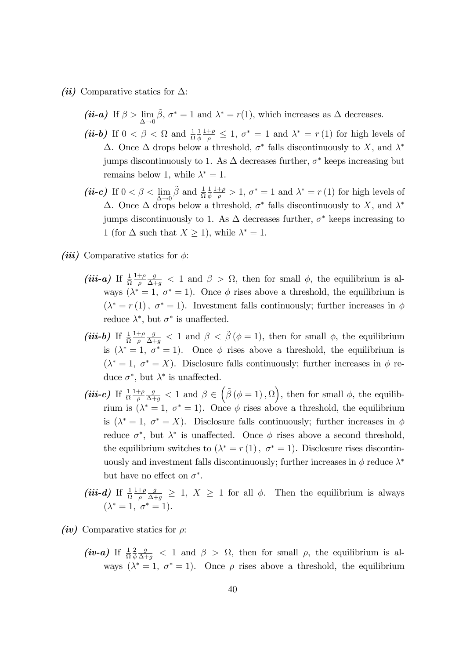(*ii*) Comparative statics for  $\Delta$ :

 $(ii-a)$  If  $\beta > \lim$  $\Delta \rightarrow 0$  $\tilde{\beta}, \sigma^* = 1$  and  $\lambda^* = r(1)$ , which increases as  $\Delta$  decreases.

- (*ii-b*) If  $0 < \beta < \Omega$  and  $\frac{1}{\Omega} \frac{1}{\phi}$  $\phi$  $\frac{1+\rho}{\rho} \leq 1$ ,  $\sigma^* = 1$  and  $\lambda^* = r(1)$  for high levels of  $\Delta$ . Once  $\Delta$  drops below a threshold,  $\sigma^*$  falls discontinuously to X, and  $\lambda^*$ jumps discontinuously to 1. As  $\Delta$  decreases further,  $\sigma^*$  keeps increasing but remains below 1, while  $\lambda^* = 1$ .
- (*ii-c*) If  $0 < \beta < \lim$  $\triangle \rightarrow 0$  $\tilde{\beta}$  and  $\frac{1}{\Omega} \frac{1}{\phi}$  $\phi$  $1+\rho$  $\frac{+ \rho}{\rho} > 1$ ,  $\sigma^* = 1$  and  $\lambda^* = r(1)$  for high levels of  $\Delta$ . Once  $\Delta$  drops below a threshold,  $\sigma^*$  falls discontinuously to X, and  $\lambda^*$ jumps discontinuously to 1. As  $\Delta$  decreases further,  $\sigma^*$  keeps increasing to 1 (for  $\Delta$  such that  $X \ge 1$ ), while  $\lambda^* = 1$ .
- (*iii*) Comparative statics for  $\phi$ :
	- *(iii-a)* If  $\frac{1}{\Omega}$  $1+\rho$  $\rho$ g  $\frac{g}{\Delta+g}$  < 1 and  $\beta > \Omega$ , then for small  $\phi$ , the equilibrium is always ( $\lambda^* = 1$ ,  $\sigma^* = 1$ ). Once  $\phi$  rises above a threshold, the equilibrium is  $(\lambda^* = r(1), \sigma^* = 1)$ . Investment falls continuously; further increases in  $\phi$ reduce  $\lambda^*$ , but  $\sigma^*$  is unaffected.
	- *(iii-b)* If  $\frac{1}{\Omega}$  $1+\rho$  $\rho$ g  $\frac{g}{\Delta + g}$  < 1 and  $\beta < \tilde{\beta}$  ( $\phi = 1$ ), then for small  $\phi$ , the equilibrium is  $(\lambda^* = 1, \sigma^* = 1)$ . Once  $\phi$  rises above a threshold, the equilibrium is  $(\lambda^* = 1, \sigma^* = X)$ . Disclosure falls continuously; further increases in  $\phi$  reduce  $\sigma^*$ , but  $\lambda^*$  is unaffected.
	- *(iii-c)* If  $\frac{1}{\Omega}$  $1+\rho$  $\rho$ g  $\frac{g}{\Delta+g}$  < 1 and  $\beta \in (\tilde{\beta}(\phi=1), \Omega)$ , then for small  $\phi$ , the equilibrium is  $(\lambda^* = 1, \sigma^* = 1)$ . Once  $\phi$  rises above a threshold, the equilibrium is  $(\lambda^* = 1, \sigma^* = X)$ . Disclosure falls continuously; further increases in  $\phi$ reduce  $\sigma^*$ , but  $\lambda^*$  is unaffected. Once  $\phi$  rises above a second threshold, the equilibrium switches to  $(\lambda^* = r(1), \sigma^* = 1)$ . Disclosure rises discontinuously and investment falls discontinuously; further increases in  $\phi$  reduce  $\lambda^*$ but have no effect on  $\sigma^*$ .
	- *(iii-d)* If  $\frac{1}{\Omega}$  $1+\rho$  $\rho$  $\frac{g}{\Delta+g} \geq 1$ ,  $X \geq 1$  for all  $\phi$ . Then the equilibrium is always  $(\lambda^* = 1, \sigma^* = 1).$
- (iv) Comparative statics for  $\rho$ :
	- *(iv-a)* If  $\frac{1}{\Omega} \frac{2}{\phi}$  $\phi$ g  $\frac{g}{\Delta+g}$  < 1 and  $\beta > \Omega$ , then for small  $\rho$ , the equilibrium is always  $(\lambda^* = 1, \sigma^* = 1)$ . Once  $\rho$  rises above a threshold, the equilibrium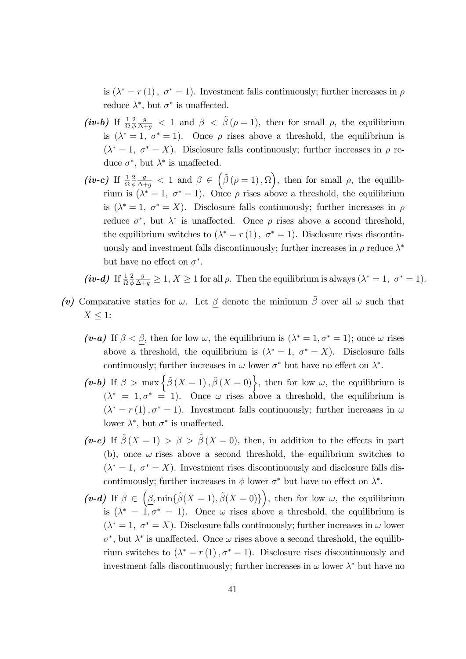is  $(\lambda^* = r(1), \sigma^* = 1)$ . Investment falls continuously; further increases in  $\rho$ reduce  $\lambda^*$ , but  $\sigma^*$  is unaffected.

- *(iv-b)* If  $\frac{1}{\Omega} \frac{2}{\phi}$  $\phi$ g  $\frac{g}{\Delta + g}$  < 1 and  $\beta$  <  $\tilde{\beta}$  ( $\rho = 1$ ), then for small  $\rho$ , the equilibrium is  $(\lambda^* = 1, \sigma^* = 1)$ . Once  $\rho$  rises above a threshold, the equilibrium is  $(\lambda^* = 1, \sigma^* = X)$ . Disclosure falls continuously; further increases in  $\rho$  reduce  $\sigma^*$ , but  $\lambda^*$  is unaffected.
- *(iv-c)* If  $\frac{1}{\Omega} \frac{2}{\phi}$  $\phi$ g  $\frac{g}{\Delta+g}$  < 1 and  $\beta \in (\tilde{\beta}(\rho=1), \Omega)$ , then for small  $\rho$ , the equilibrium is  $(\lambda^* = 1, \sigma^* = 1)$ . Once  $\rho$  rises above a threshold, the equilibrium is  $(\lambda^* = 1, \sigma^* = X)$ . Disclosure falls continuously; further increases in  $\rho$ reduce  $\sigma^*$ , but  $\lambda^*$  is unaffected. Once  $\rho$  rises above a second threshold, the equilibrium switches to  $(\lambda^* = r(1), \sigma^* = 1)$ . Disclosure rises discontinuously and investment falls discontinuously; further increases in  $\rho$  reduce  $\lambda^*$ but have no effect on  $\sigma^*$ .

*(iv-d)* If  $\frac{1}{\Omega} \frac{2}{\phi}$  $\phi$  $\frac{g}{\Delta+g} \geq 1, X \geq 1$  for all  $\rho$ . Then the equilibrium is always  $(\lambda^* = 1, \sigma^* = 1)$ .

- (v) Comparative statics for  $\omega$ . Let  $\beta$  denote the minimum  $\tilde{\beta}$  over all  $\omega$  such that  $X \leq 1$ :
	- (v-a) If  $\beta < \beta$ , then for low  $\omega$ , the equilibrium is  $(\lambda^* = 1, \sigma^* = 1)$ ; once  $\omega$  rises above a threshold, the equilibrium is  $(\lambda^* = 1, \sigma^* = X)$ . Disclosure falls continuously; further increases in  $\omega$  lower  $\sigma^*$  but have no effect on  $\lambda^*$ .
	- (v-b) If  $\beta > \max \{-\beta (X=1), \tilde{\beta} (X=0)\}$ , then for low  $\omega$ , the equilibrium is  $(\lambda^* = 1, \sigma^* = 1)$ . Once  $\omega$  rises above a threshold, the equilibrium is  $(\lambda^* = r(1), \sigma^* = 1)$ . Investment falls continuously; further increases in  $\omega$ lower  $\lambda^*$ , but  $\sigma^*$  is unaffected.
	- (v-c) If  $\tilde{\beta}(X=1) > \beta > \tilde{\beta}(X=0)$ , then, in addition to the effects in part (b), once  $\omega$  rises above a second threshold, the equilibrium switches to  $(\lambda^* = 1, \sigma^* = X)$ . Investment rises discontinuously and disclosure falls discontinuously; further increases in  $\phi$  lower  $\sigma^*$  but have no effect on  $\lambda^*$ .
	- $(v-d)$  If  $\beta \in (\underline{\beta}, \min\{\tilde{\beta}(X=1), \tilde{\beta}(X=0)\})$ , then for low  $\omega$ , the equilibrium is  $(\lambda^* = 1, \sigma^* = 1)$ . Once  $\omega$  rises above a threshold, the equilibrium is  $(\lambda^* = 1, \sigma^* = X)$ . Disclosure falls continuously; further increases in  $\omega$  lower  $\sigma^*$ , but  $\lambda^*$  is unaffected. Once  $\omega$  rises above a second threshold, the equilibrium switches to  $(\lambda^* = r(1), \sigma^* = 1)$ . Disclosure rises discontinuously and investment falls discontinuously; further increases in  $\omega$  lower  $\lambda^*$  but have no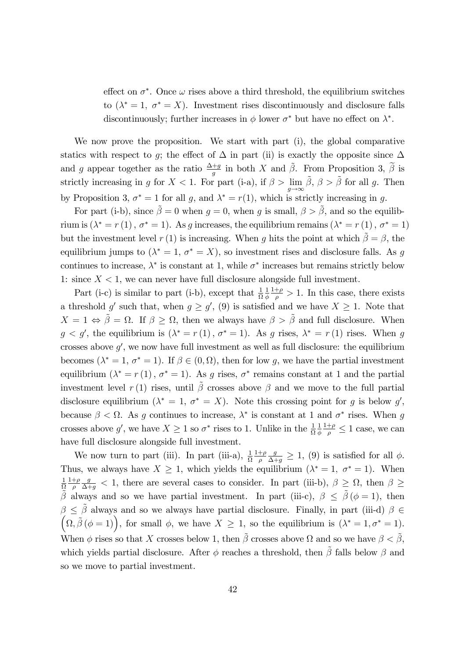effect on  $\sigma^*$ . Once  $\omega$  rises above a third threshold, the equilibrium switches to  $(\lambda^* = 1, \sigma^* = X)$ . Investment rises discontinuously and disclosure falls discontinuously; further increases in  $\phi$  lower  $\sigma^*$  but have no effect on  $\lambda^*$ .

We now prove the proposition. We start with part (i), the global comparative statics with respect to q; the effect of  $\Delta$  in part (ii) is exactly the opposite since  $\Delta$ and g appear together as the ratio  $\frac{\Delta + g}{g}$  in both X and  $\tilde{\beta}$ . From Proposition 3,  $\tilde{\beta}$  is strictly increasing in g for  $X < 1$ . For part (i-a), if  $\beta > \lim$  $g{\rightarrow}\infty$  $\tilde{\beta}, \beta > \tilde{\beta}$  for all g. Then by Proposition 3,  $\sigma^* = 1$  for all g, and  $\lambda^* = r(1)$ , which is strictly increasing in g.

For part (i-b), since  $\tilde{\beta} = 0$  when  $q = 0$ , when q is small,  $\beta > \tilde{\beta}$ , and so the equilibrium is  $(\lambda^* = r(1), \sigma^* = 1)$ . As g increases, the equilibrium remains  $(\lambda^* = r(1), \sigma^* = 1)$ but the investment level  $r(1)$  is increasing. When g hits the point at which  $\tilde{\beta} = \beta$ , the equilibrium jumps to  $(\lambda^* = 1, \sigma^* = X)$ , so investment rises and disclosure falls. As g continues to increase,  $\lambda^*$  is constant at 1, while  $\sigma^*$  increases but remains strictly below 1: since  $X < 1$ , we can never have full disclosure alongside full investment.

Part (i-c) is similar to part (i-b), except that  $\frac{1}{\Omega} \frac{1}{\phi}$  $\phi$  $1+\rho$  $\frac{+\rho}{\rho} > 1$ . In this case, there exists a threshold g' such that, when  $g \ge g'$ , (9) is satisfied and we have  $X \ge 1$ . Note that  $X = 1 \Leftrightarrow \tilde{\beta} = \Omega$ . If  $\beta \ge \Omega$ , then we always have  $\beta > \tilde{\beta}$  and full disclosure. When  $g < g'$ , the equilibrium is  $(\lambda^* = r(1), \sigma^* = 1)$ . As g rises,  $\lambda^* = r(1)$  rises. When g crosses above  $g'$ , we now have full investment as well as full disclosure: the equilibrium becomes ( $\lambda^* = 1$ ,  $\sigma^* = 1$ ). If  $\beta \in (0, \Omega)$ , then for low g, we have the partial investment equilibrium  $(\lambda^* = r(1), \sigma^* = 1)$ . As g rises,  $\sigma^*$  remains constant at 1 and the partial investment level  $r(1)$  rises, until  $\beta$  crosses above  $\beta$  and we move to the full partial disclosure equilibrium  $(\lambda^* = 1, \sigma^* = X)$ . Note this crossing point for g is below g', because  $\beta < \Omega$ . As g continues to increase,  $\lambda^*$  is constant at 1 and  $\sigma^*$  rises. When g crosses above g', we have  $X \geq 1$  so  $\sigma^*$  rises to 1. Unlike in the  $\frac{1}{\Omega} \frac{1}{\phi}$  $\phi$  $\frac{1+\rho}{\rho} \leq 1$  case, we can have full disclosure alongside full investment.

We now turn to part (iii). In part (iii-a),  $\frac{1}{\Omega}$  $1+\rho$  $\rho$  $\frac{g}{\Delta+g} \geq 1$ , (9) is satisfied for all  $\phi$ . Thus, we always have  $X \geq 1$ , which yields the equilibrium  $(\lambda^* = 1, \sigma^* = 1)$ . When 1 Ω  $_{1+\rho}$  $\rho$ g  $\frac{g}{\Delta+g}$  < 1, there are several cases to consider. In part (iii-b),  $\beta \geq \Omega$ , then  $\beta \geq$  $\tilde{\beta}$  always and so we have partial investment. In part (iii-c),  $\beta \leq \tilde{\beta}$  ( $\phi = 1$ ), then  $\beta \leq \tilde{\beta}$  always and so we always have partial disclosure. Finally, in part (iii-d)  $\beta \in$  $\left(\Omega, \tilde{\beta}(\phi=1)\right)$ , for small  $\phi$ , we have  $X \geq 1$ , so the equilibrium is  $(\lambda^* = 1, \sigma^* = 1)$ . When  $\phi$  rises so that X crosses below 1, then  $\tilde{\beta}$  crosses above  $\Omega$  and so we have  $\beta < \tilde{\beta}$ , which yields partial disclosure. After  $\phi$  reaches a threshold, then  $\tilde{\beta}$  falls below  $\beta$  and so we move to partial investment.